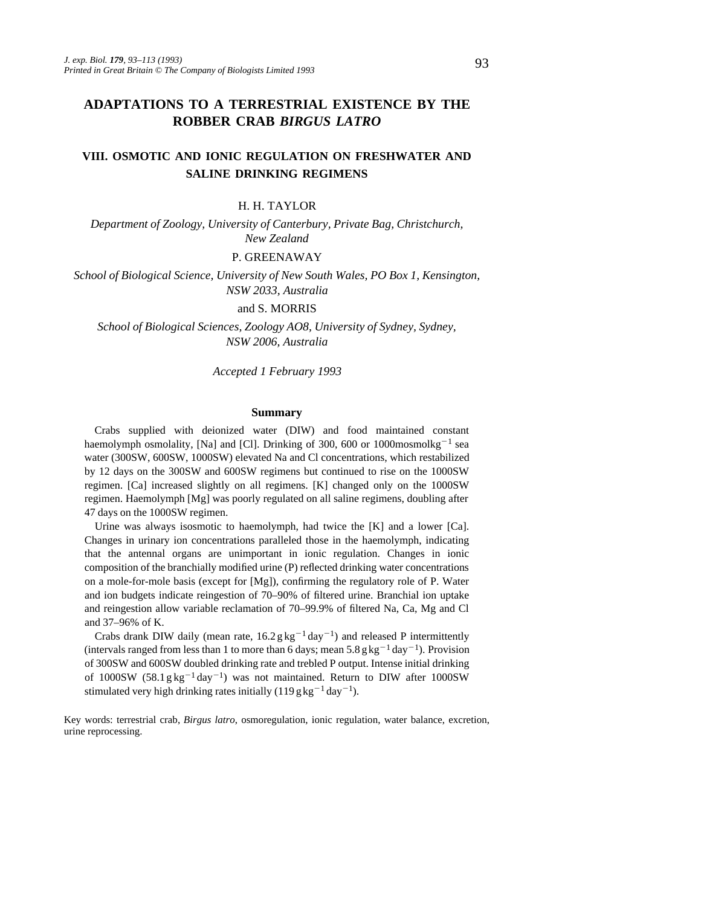# **ADAPTATIONS TO A TERRESTRIAL EXISTENCE BY THE ROBBER CRAB** *BIRGUS LATRO*

# **VIII. OSMOTIC AND IONIC REGULATION ON FRESHWATER AND SALINE DRINKING REGIMENS**

#### H. H. TAYLOR

*Department of Zoology, University of Canterbury, Private Bag, Christchurch, New Zealand*

# P. GREENAWAY

*School of Biological Science, University of New South Wales, PO Box 1, Kensington, NSW 2033, Australia*

# and S. MORRIS

*School of Biological Sciences, Zoology AO8, University of Sydney, Sydney, NSW 2006, Australia*

*Accepted 1 February 1993*

### **Summary**

Crabs supplied with deionized water (DIW) and food maintained constant haemolymph osmolality, [Na] and [Cl]. Drinking of 300, 600 or 1000mosmolkg<sup>-1</sup> sea water (300SW, 600SW, 1000SW) elevated Na and Cl concentrations, which restabilized by 12 days on the 300SW and 600SW regimens but continued to rise on the 1000SW regimen. [Ca] increased slightly on all regimens. [K] changed only on the 1000SW regimen. Haemolymph [Mg] was poorly regulated on all saline regimens, doubling after 47 days on the 1000SW regimen.

Urine was always isosmotic to haemolymph, had twice the [K] and a lower [Ca]. Changes in urinary ion concentrations paralleled those in the haemolymph, indicating that the antennal organs are unimportant in ionic regulation. Changes in ionic composition of the branchially modified urine (P) reflected drinking water concentrations on a mole-for-mole basis (except for  $[Mg]$ ), confirming the regulatory role of P. Water and ion budgets indicate reingestion of 70–90% of filtered urine. Branchial ion uptake and reingestion allow variable reclamation of 70–99.9% of filtered Na, Ca, Mg and Cl and 37–96% of K.

Crabs drank DIW daily (mean rate,  $16.2 g kg^{-1} day^{-1}$ ) and released P intermittently (intervals ranged from less than 1 to more than 6 days; mean  $5.8$  g kg<sup>-1</sup> day<sup>-1</sup>). Provision of 300SW and 600SW doubled drinking rate and trebled P output. Intense initial drinking of  $1000SW$  (58.1 g kg<sup>-1</sup> day<sup>-1</sup>) was not maintained. Return to DIW after  $1000SW$ stimulated very high drinking rates initially (119 g kg<sup>-1</sup> day<sup>-1</sup>).

Key words: terrestrial crab, *Birgus latro*, osmoregulation, ionic regulation, water balance, excretion, urine reprocessing.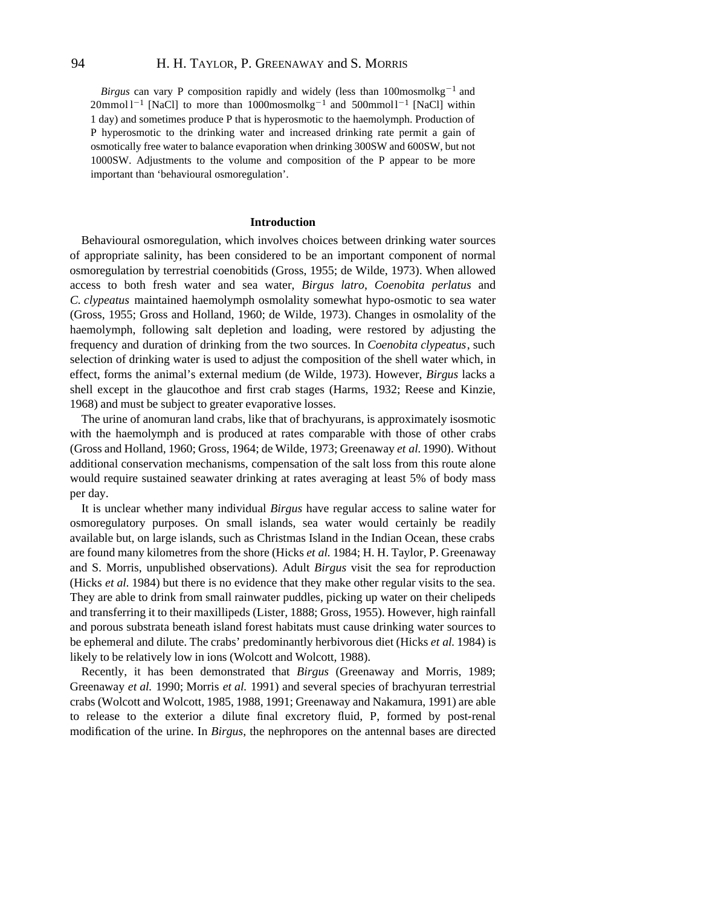# 94 H. H. TAYLOR, P. GREENAWAY and S. MORRIS

*Birgus* can vary P composition rapidly and widely (less than 100mosmolkg<sup>-1</sup> and  $20$ mmol l<sup>-1</sup> [NaCl] to more than 1000mosmolkg<sup>-1</sup> and 500mmol l<sup>-1</sup> [NaCl] within 1 day) and sometimes produce P that is hyperosmotic to the haemolymph. Production of P hyperosmotic to the drinking water and increased drinking rate permit a gain of osmotically free water to balance evaporation when drinking 300SW and 600SW, but not 1000SW. Adjustments to the volume and composition of the P appear to be more important than 'behavioural osmoregulation'.

#### **Introduction**

Behavioural osmoregulation, which involves choices between drinking water sources of appropriate salinity, has been considered to be an important component of normal osmoregulation by terrestrial coenobitids (Gross, 1955; de Wilde, 1973). When allowed access to both fresh water and sea water, *Birgus latro*, *Coenobita perlatus* and *C. clypeatus* maintained haemolymph osmolality somewhat hypo-osmotic to sea water (Gross, 1955; Gross and Holland, 1960; de Wilde, 1973). Changes in osmolality of the haemolymph, following salt depletion and loading, were restored by adjusting the frequency and duration of drinking from the two sources. In *Coenobita clypeatus*, such selection of drinking water is used to adjust the composition of the shell water which, in effect, forms the animal's external medium (de Wilde, 1973). However, *Birgus* lacks a shell except in the glaucothoe and first crab stages (Harms, 1932; Reese and Kinzie, 1968) and must be subject to greater evaporative losses.

The urine of anomuran land crabs, like that of brachyurans, is approximately isosmotic with the haemolymph and is produced at rates comparable with those of other crabs (Gross and Holland, 1960; Gross, 1964; de Wilde, 1973; Greenaway *et al.* 1990). Without additional conservation mechanisms, compensation of the salt loss from this route alone would require sustained seawater drinking at rates averaging at least 5% of body mass per day.

It is unclear whether many individual *Birgus* have regular access to saline water for osmoregulatory purposes. On small islands, sea water would certainly be readily available but, on large islands, such as Christmas Island in the Indian Ocean, these crabs are found many kilometres from the shore (Hicks *et al.* 1984; H. H. Taylor, P. Greenaway and S. Morris, unpublished observations). Adult *Birgus* visit the sea for reproduction (Hicks *et al.* 1984) but there is no evidence that they make other regular visits to the sea. They are able to drink from small rainwater puddles, picking up water on their chelipeds and transferring it to their maxillipeds (Lister, 1888; Gross, 1955). However, high rainfall and porous substrata beneath island forest habitats must cause drinking water sources to be ephemeral and dilute. The crabs' predominantly herbivorous diet (Hicks *et al.* 1984) is likely to be relatively low in ions (Wolcott and Wolcott, 1988).

Recently, it has been demonstrated that *Birgus* (Greenaway and Morris, 1989; Greenaway *et al.* 1990; Morris *et al.* 1991) and several species of brachyuran terrestrial crabs (Wolcott and Wolcott, 1985, 1988, 1991; Greenaway and Nakamura, 1991) are able to release to the exterior a dilute final excretory fluid, P, formed by post-renal modification of the urine. In *Birgus*, the nephropores on the antennal bases are directed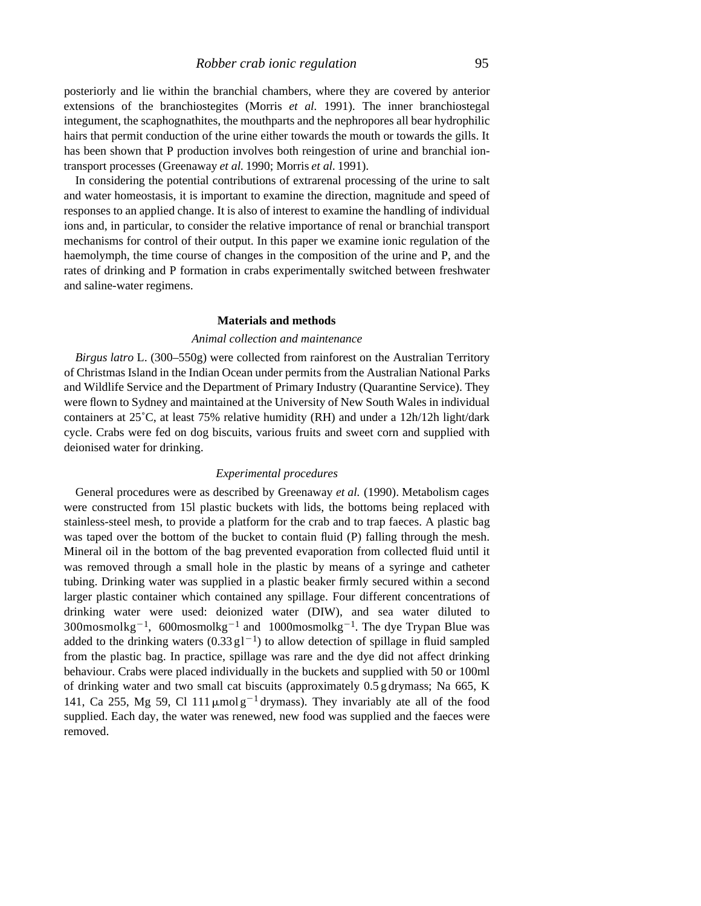posteriorly and lie within the branchial chambers, where they are covered by anterior extensions of the branchiostegites (Morris *et al.* 1991). The inner branchiostegal integument, the scaphognathites, the mouthparts and the nephropores all bear hydrophilic hairs that permit conduction of the urine either towards the mouth or towards the gills. It has been shown that P production involves both reingestion of urine and branchial iontransport processes (Greenaway *et al.* 1990; Morris *et al.* 1991).

In considering the potential contributions of extrarenal processing of the urine to salt and water homeostasis, it is important to examine the direction, magnitude and speed of responses to an applied change. It is also of interest to examine the handling of individual ions and, in particular, to consider the relative importance of renal or branchial transport mechanisms for control of their output. In this paper we examine ionic regulation of the haemolymph, the time course of changes in the composition of the urine and P, and the rates of drinking and P formation in crabs experimentally switched between freshwater and saline-water regimens.

# **Materials and methods**

# *Animal collection and maintenance*

*Birgus latro* L. (300–550g) were collected from rainforest on the Australian Territory of Christmas Island in the Indian Ocean under permits from the Australian National Parks and Wildlife Service and the Department of Primary Industry (Quarantine Service). They were flown to Sydney and maintained at the University of New South Wales in individual containers at 25˚C, at least 75% relative humidity (RH) and under a 12h/12h light/dark cycle. Crabs were fed on dog biscuits, various fruits and sweet corn and supplied with deionised water for drinking.

### *Experimental procedures*

General procedures were as described by Greenaway *et al.* (1990). Metabolism cages were constructed from 15l plastic buckets with lids, the bottoms being replaced with stainless-steel mesh, to provide a platform for the crab and to trap faeces. A plastic bag was taped over the bottom of the bucket to contain fluid (P) falling through the mesh. Mineral oil in the bottom of the bag prevented evaporation from collected fluid until it was removed through a small hole in the plastic by means of a syringe and catheter tubing. Drinking water was supplied in a plastic beaker firmly secured within a second larger plastic container which contained any spillage. Four different concentrations of drinking water were used: deionized water (DIW), and sea water diluted to  $300$ mosmolkg<sup>-1</sup>, 600mosmolkg<sup>-1</sup> and 1000mosmolkg<sup>-1</sup>. The dye Trypan Blue was added to the drinking waters  $(0.33 \text{ g1}^{-1})$  to allow detection of spillage in fluid sampled from the plastic bag. In practice, spillage was rare and the dye did not affect drinking behaviour. Crabs were placed individually in the buckets and supplied with 50 or 100ml of drinking water and two small cat biscuits (approximately 0.5 g drymass; Na 665, K 141, Ca 255, Mg 59, Cl 111  $\mu$ mol g<sup>-1</sup> drymass). They invariably ate all of the food supplied. Each day, the water was renewed, new food was supplied and the faeces were removed.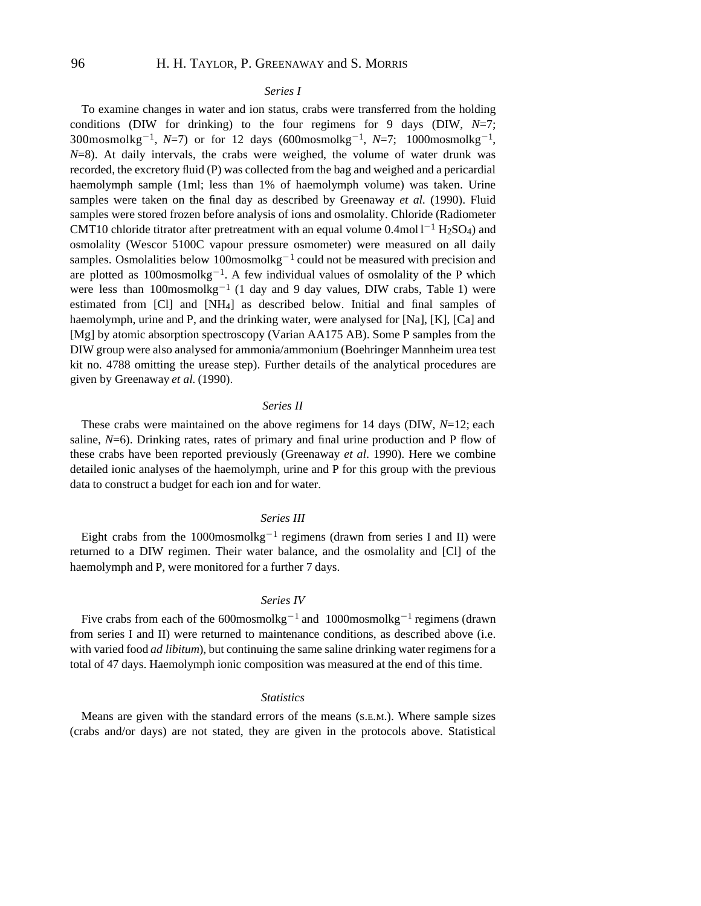#### *Series I*

To examine changes in water and ion status, crabs were transferred from the holding conditions (DIW for drinking) to the four regimens for 9 days (DIW, *N*=7;  $300$ mosmolkg<sup>-1</sup>, *N*=7) or for 12 days (600mosmolkg<sup>-1</sup>, *N*=7; 1000mosmolkg<sup>-1</sup>, *N*=8). At daily intervals, the crabs were weighed, the volume of water drunk was recorded, the excretory fluid (P) was collected from the bag and weighed and a pericardial haemolymph sample (1ml; less than 1% of haemolymph volume) was taken. Urine samples were taken on the final day as described by Greenaway *et al.* (1990). Fluid samples were stored frozen before analysis of ions and osmolality. Chloride (Radiometer CMT10 chloride titrator after pretreatment with an equal volume  $0.4$ mol  $1^{-1}$  H<sub>2</sub>SO<sub>4</sub>) and osmolality (Wescor 5100C vapour pressure osmometer) were measured on all daily samples. Osmolalities below 100mosmolkg<sup>-1</sup> could not be measured with precision and are plotted as  $100$ mosmolkg<sup>-1</sup>. A few individual values of osmolality of the P which were less than  $100$ mosmolkg<sup>-1</sup> (1 day and 9 day values, DIW crabs, Table 1) were estimated from [Cl] and [NH4] as described below. Initial and final samples of haemolymph, urine and P, and the drinking water, were analysed for [Na], [K], [Ca] and [Mg] by atomic absorption spectroscopy (Varian AA175 AB). Some P samples from the DIW group were also analysed for ammonia/ammonium (Boehringer Mannheim urea test kit no. 4788 omitting the urease step). Further details of the analytical procedures are given by Greenaway *et al.* (1990).

#### *Series II*

These crabs were maintained on the above regimens for 14 days (DIW, *N*=12; each saline,  $N=6$ ). Drinking rates, rates of primary and final urine production and P flow of these crabs have been reported previously (Greenaway *et al*. 1990). Here we combine detailed ionic analyses of the haemolymph, urine and P for this group with the previous data to construct a budget for each ion and for water.

#### *Series III*

Eight crabs from the  $1000$ mosmolkg<sup>-1</sup> regimens (drawn from series I and II) were returned to a DIW regimen. Their water balance, and the osmolality and [Cl] of the haemolymph and P, were monitored for a further 7 days.

### *Series IV*

Five crabs from each of the 600mosmolkg<sup>-1</sup> and 1000mosmolkg<sup>-1</sup> regimens (drawn from series I and II) were returned to maintenance conditions, as described above (i.e. with varied food *ad libitum*), but continuing the same saline drinking water regimens for a total of 47 days. Haemolymph ionic composition was measured at the end of this time.

# *Statistics*

Means are given with the standard errors of the means (S.E.M.). Where sample sizes (crabs and/or days) are not stated, they are given in the protocols above. Statistical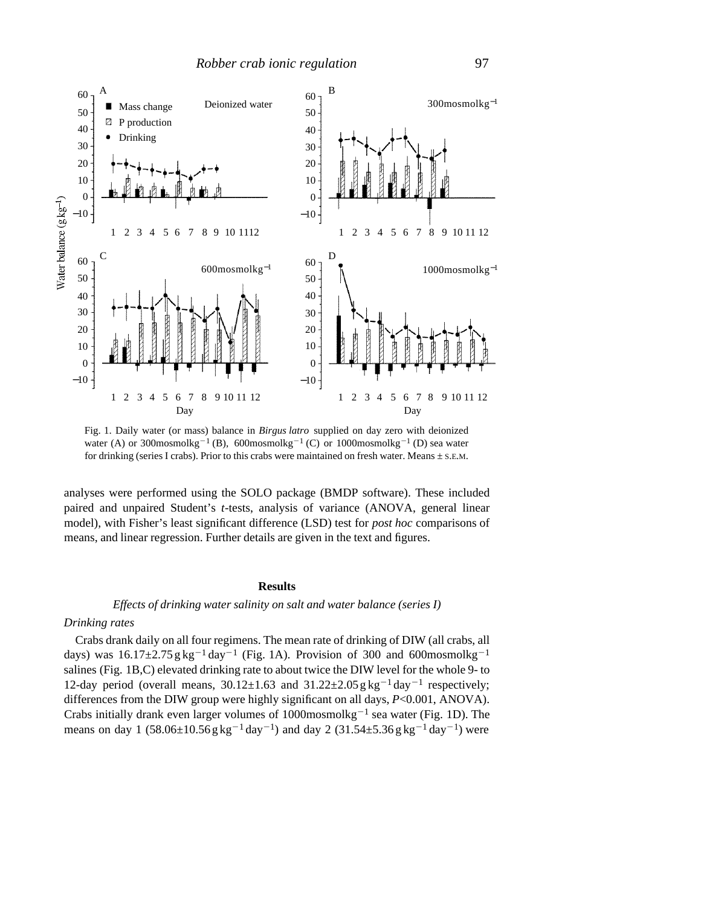

Fig. 1. Daily water (or mass) balance in *Birgus latro* supplied on day zero with deionized water (A) or 300mosmolkg<sup>-1</sup> (B), 600mosmolkg<sup>-1</sup> (C) or 1000mosmolkg<sup>-1</sup> (D) sea water for drinking (series I crabs). Prior to this crabs were maintained on fresh water. Means  $\pm$  s.E.M.

analyses were performed using the SOLO package (BMDP software). These included paired and unpaired Student's *t*-tests, analysis of variance (ANOVA, general linear model), with Fisher's least significant difference (LSD) test for *post hoc* comparisons of means, and linear regression. Further details are given in the text and figures.

# **Results**

# *Effects of drinking water salinity on salt and water balance (series I)*

# *Drinking rates*

Crabs drank daily on all four regimens. The mean rate of drinking of DIW (all crabs, all days) was  $16.17\pm2.75$  g kg<sup>-1</sup> day<sup>-1</sup> (Fig. 1A). Provision of 300 and 600mosmolkg<sup>-1</sup> salines (Fig. 1B,C) elevated drinking rate to about twice the DIW level for the whole 9- to 12-day period (overall means,  $30.12 \pm 1.63$  and  $31.22 \pm 2.05$  g kg<sup>-1</sup> day<sup>-1</sup> respectively; differences from the DIW group were highly significant on all days, *P*<0.001, ANOVA). Crabs initially drank even larger volumes of 1000mosmolkg<sup>-1</sup> sea water (Fig. 1D). The means on day 1 (58.06 $\pm$ 10.56 g kg<sup>-1</sup> day<sup>-1</sup>) and day 2 (31.54 $\pm$ 5.36 g kg<sup>-1</sup> day<sup>-1</sup>) were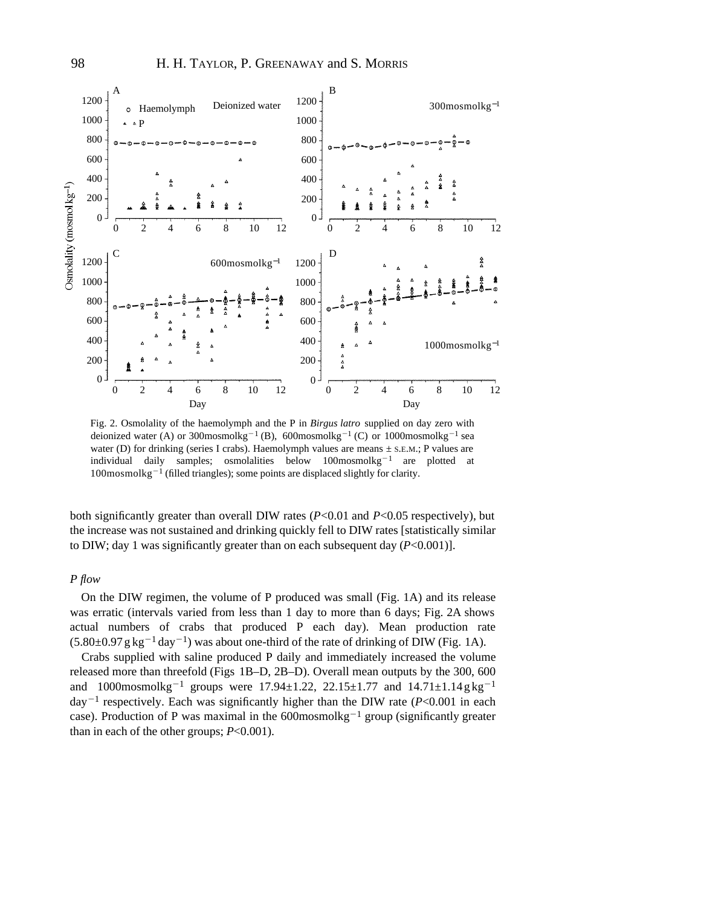

Fig. 2. Osmolality of the haemolymph and the P in *Birgus latro* supplied on day zero with deionized water (A) or 300mosmolkg<sup>-1</sup> (B), 600mosmolkg<sup>-1</sup> (C) or 1000mosmolkg<sup>-1</sup> sea water (D) for drinking (series I crabs). Haemolymph values are means  $\pm$  s.e.m.; P values are individual daily samples; osmolalities below  $100$ mosmolkg<sup>-1</sup> are plotted at  $100$ mosmol $kg^{-1}$  (filled triangles); some points are displaced slightly for clarity.

both significantly greater than overall DIW rates (*P*<0.01 and *P*<0.05 respectively), but the increase was not sustained and drinking quickly fell to DIW rates [statistically similar to DIW; day 1 was significantly greater than on each subsequent day (*P*<0.001)].

# *P flow*

On the DIW regimen, the volume of P produced was small (Fig. 1A) and its release was erratic (intervals varied from less than 1 day to more than 6 days; Fig. 2A shows actual numbers of crabs that produced P each day). Mean production rate  $(5.80\pm0.97 \text{ g kg}^{-1} \text{ day}^{-1})$  was about one-third of the rate of drinking of DIW (Fig. 1A).

Crabs supplied with saline produced P daily and immediately increased the volume released more than threefold (Figs 1B–D, 2B–D). Overall mean outputs by the 300, 600 and 1000mosmolkg<sup>-1</sup> groups were 17.94 $\pm$ 1.22, 22.15 $\pm$ 1.77 and 14.71 $\pm$ 1.14g kg<sup>-1</sup> day<sup> $-1$ </sup> respectively. Each was significantly higher than the DIW rate ( $P < 0.001$  in each case). Production of P was maximal in the  $600$ mosmolkg<sup>-1</sup> group (significantly greater than in each of the other groups; *P*<0.001).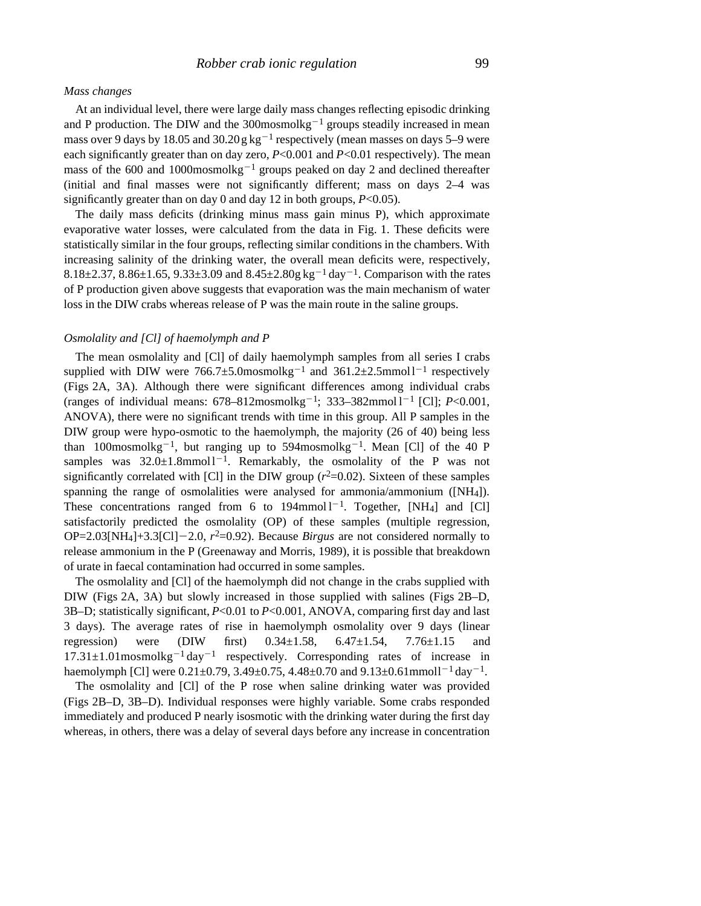### *Mass changes*

At an individual level, there were large daily mass changes reflecting episodic drinking and P production. The DIW and the  $300$ mosmolkg<sup>-1</sup> groups steadily increased in mean mass over 9 days by 18.05 and 30.20  $g\,kg^{-1}$  respectively (mean masses on days 5–9 were each significantly greater than on day zero, *P*<0.001 and *P*<0.01 respectively). The mean mass of the 600 and  $1000$ mosmolkg<sup>-1</sup> groups peaked on day 2 and declined thereafter (initial and final masses were not significantly different; mass on days 2–4 was significantly greater than on day 0 and day 12 in both groups, *P*<0.05).

The daily mass deficits (drinking minus mass gain minus P), which approximate evaporative water losses, were calculated from the data in Fig. 1. These deficits were statistically similar in the four groups, reflecting similar conditions in the chambers. With increasing salinity of the drinking water, the overall mean deficits were, respectively, 8.18 $\pm$ 2.37, 8.86 $\pm$ 1.65, 9.33 $\pm$ 3.09 and 8.45 $\pm$ 2.80g kg<sup>-1</sup> day<sup>-1</sup>. Comparison with the rates of P production given above suggests that evaporation was the main mechanism of water loss in the DIW crabs whereas release of P was the main route in the saline groups.

# *Osmolality and [Cl] of haemolymph and P*

The mean osmolality and [Cl] of daily haemolymph samples from all series I crabs supplied with DIW were  $766.7 \pm 5.0$  mosmol kg<sup>-1</sup> and  $361.2 \pm 2.5$  mmol<sup>1-1</sup> respectively (Figs 2A, 3A). Although there were significant differences among individual crabs (ranges of individual means:  $678 - 812$ mosmolkg<sup>-1</sup>; 333-382mmol1<sup>-1</sup> [Cl];  $P < 0.001$ , ANOVA), there were no significant trends with time in this group. All P samples in the DIW group were hypo-osmotic to the haemolymph, the majority (26 of 40) being less than 100mosmolkg<sup>-1</sup>, but ranging up to 594mosmolkg<sup>-1</sup>. Mean [Cl] of the 40 P samples was  $32.0 \pm 1.8$ mmol $1^{-1}$ . Remarkably, the osmolality of the P was not significantly correlated with [Cl] in the DIW group  $(r^2=0.02)$ . Sixteen of these samples spanning the range of osmolalities were analysed for ammonia/ammonium ([NH4]). These concentrations ranged from 6 to  $194$ mmol  $1^{-1}$ . Together, [NH<sub>4</sub>] and [Cl] satisfactorily predicted the osmolality (OP) of these samples (multiple regression, OP=2.03[NH<sub>4</sub>]+3.3[Cl]-2.0,  $r^2$ =0.92). Because *Birgus* are not considered normally to release ammonium in the P (Greenaway and Morris, 1989), it is possible that breakdown of urate in faecal contamination had occurred in some samples.

The osmolality and [Cl] of the haemolymph did not change in the crabs supplied with DIW (Figs 2A, 3A) but slowly increased in those supplied with salines (Figs 2B–D, 3B–D; statistically significant, *P*<0.01 to *P*<0.001, ANOVA, comparing first day and last 3 days). The average rates of rise in haemolymph osmolality over 9 days (linear regression) were (DIW first)  $0.34 \pm 1.58$ ,  $6.47 \pm 1.54$ ,  $7.76 \pm 1.15$  and  $17.31 \pm 1.01$  mosmolkg<sup>-1</sup> day<sup>-1</sup> respectively. Corresponding rates of increase in haemolymph [Cl] were  $0.21 \pm 0.79$ ,  $3.49 \pm 0.75$ ,  $4.48 \pm 0.70$  and  $9.13 \pm 0.61$ mmoll<sup>-1</sup> day<sup>-1</sup>.

The osmolality and [Cl] of the P rose when saline drinking water was provided (Figs 2B–D, 3B–D). Individual responses were highly variable. Some crabs responded immediately and produced P nearly isosmotic with the drinking water during the first day whereas, in others, there was a delay of several days before any increase in concentration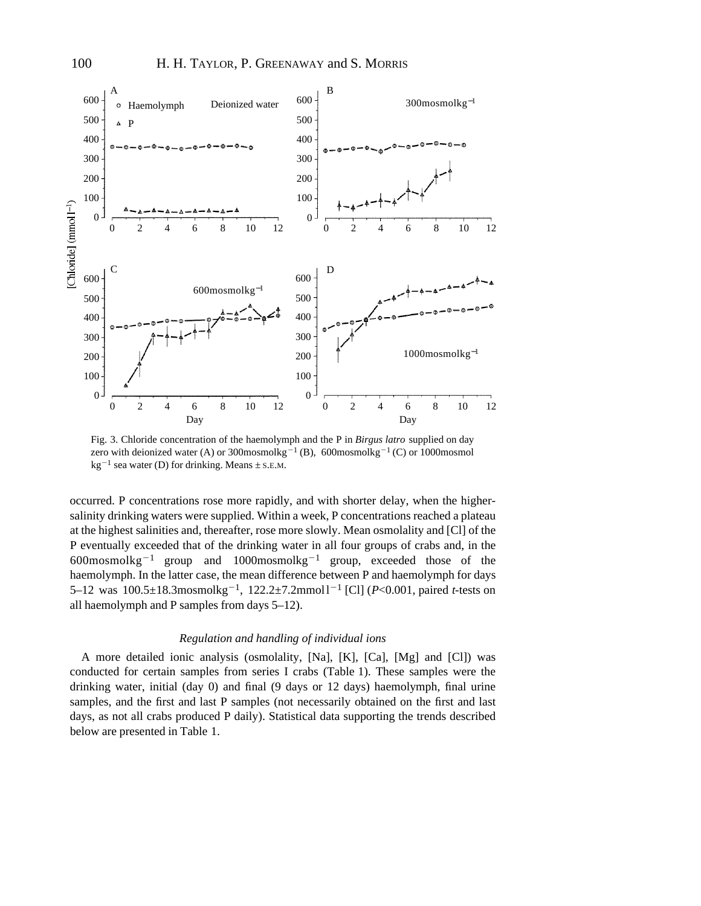

Fig. 3. Chloride concentration of the haemolymph and the P in *Birgus latro* supplied on day zero with deionized water (A) or 300mosmolkg<sup>-1</sup> (B), 600mosmolkg<sup>-1</sup> (C) or 1000mosmol  $kg^{-1}$  sea water (D) for drinking. Means  $\pm$  s.E.M.

occurred. P concentrations rose more rapidly, and with shorter delay, when the highersalinity drinking waters were supplied. Within a week, P concentrations reached a plateau at the highest salinities and, thereafter, rose more slowly. Mean osmolality and [Cl] of the P eventually exceeded that of the drinking water in all four groups of crabs and, in the  $600$ mosmolkg<sup>-1</sup> group and  $1000$ mosmolkg<sup>-1</sup> group, exceeded those of the haemolymph. In the latter case, the mean difference between P and haemolymph for days 5–12 was 100.5±18.3mosmolkg<sup>-1</sup>, 122.2±7.2mmol1<sup>-1</sup> [Cl] (*P*<0.001, paired *t*-tests on all haemolymph and P samples from days 5–12).

#### *Regulation and handling of individual ions*

A more detailed ionic analysis (osmolality, [Na], [K], [Ca], [Mg] and [Cl]) was conducted for certain samples from series I crabs (Table 1). These samples were the drinking water, initial (day 0) and final (9 days or 12 days) haemolymph, final urine samples, and the first and last P samples (not necessarily obtained on the first and last days, as not all crabs produced P daily). Statistical data supporting the trends described below are presented in Table 1.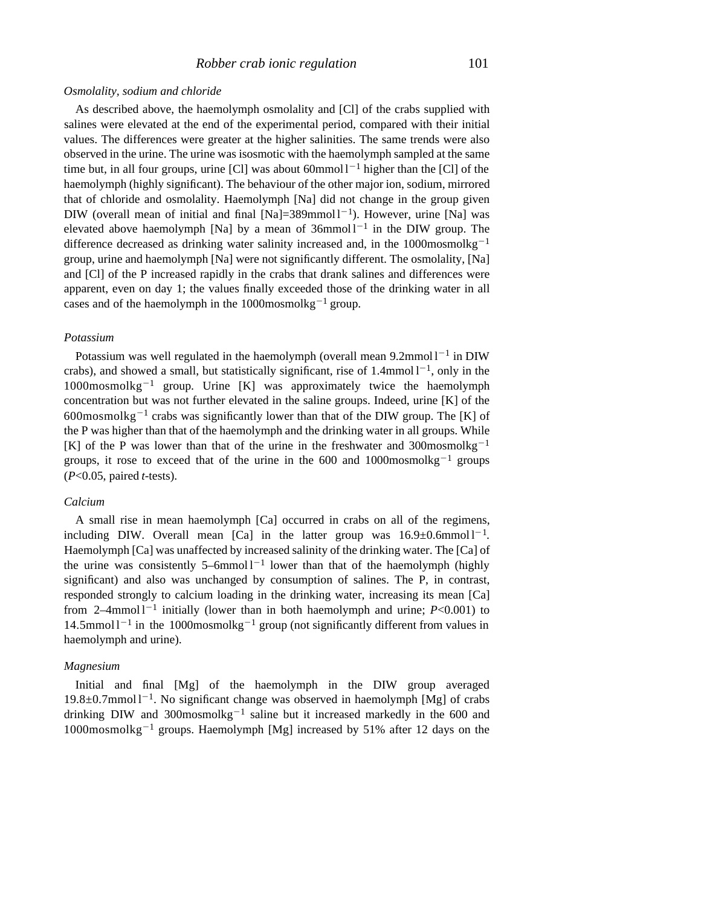#### *Osmolality, sodium and chloride*

As described above, the haemolymph osmolality and [Cl] of the crabs supplied with salines were elevated at the end of the experimental period, compared with their initial values. The differences were greater at the higher salinities. The same trends were also observed in the urine. The urine was isosmotic with the haemolymph sampled at the same time but, in all four groups, urine [Cl] was about  $60$ mmol  $1^{-1}$  higher than the [Cl] of the haemolymph (highly significant). The behaviour of the other major ion, sodium, mirrored that of chloride and osmolality. Haemolymph [Na] did not change in the group given DIW (overall mean of initial and final  $[Na]=389$ mmol $1^{-1}$ ). However, urine [Na] was elevated above haemolymph [Na] by a mean of  $36$ mmol $1<sup>-1</sup>$  in the DIW group. The difference decreased as drinking water salinity increased and, in the 1000mosmolkg<sup>-1</sup> group, urine and haemolymph [Na] were not significantly different. The osmolality, [Na] and [Cl] of the P increased rapidly in the crabs that drank salines and differences were apparent, even on day 1; the values finally exceeded those of the drinking water in all cases and of the haemolymph in the 1000mosmol $kg^{-1}$  group.

#### *Potassium*

Potassium was well regulated in the haemolymph (overall mean  $9.2$ mmol $1^{-1}$  in DIW crabs), and showed a small, but statistically significant, rise of  $1.4$ mmol  $1^{-1}$ , only in the  $1000$ mosmolkg<sup>-1</sup> group. Urine [K] was approximately twice the haemolymph concentration but was not further elevated in the saline groups. Indeed, urine  $[K]$  of the 600mosmolkg<sup>-1</sup> crabs was significantly lower than that of the DIW group. The [K] of the P was higher than that of the haemolymph and the drinking water in all groups. While [K] of the P was lower than that of the urine in the freshwater and 300mosmolkg<sup>-1</sup> groups, it rose to exceed that of the urine in the 600 and 1000mosmolkg<sup>-1</sup> groups (*P*<0.05, paired *t*-tests).

# *Calcium*

A small rise in mean haemolymph [Ca] occurred in crabs on all of the regimens, including DIW. Overall mean [Ca] in the latter group was  $16.9 \pm 0.6$ mmol $1^{-1}$ . Haemolymph [Ca] was unaffected by increased salinity of the drinking water. The [Ca] of the urine was consistently 5–6mmol  $1^{-1}$  lower than that of the haemolymph (highly significant) and also was unchanged by consumption of salines. The P, in contrast, responded strongly to calcium loading in the drinking water, increasing its mean [Ca] from  $2-4$ mmol  $1-1$  initially (lower than in both haemolymph and urine;  $P < 0.001$ ) to 14.5mmol  $1^{-1}$  in the 1000mosmolkg<sup>-1</sup> group (not significantly different from values in haemolymph and urine).

# *Magnesium*

Initial and final [Mg] of the haemolymph in the DIW group averaged  $19.8 \pm 0.7$ mmol  $1^{-1}$ . No significant change was observed in haemolymph [Mg] of crabs drinking DIW and 300mosmolkg<sup>-1</sup> saline but it increased markedly in the 600 and  $1000$ mosmolkg<sup>-1</sup> groups. Haemolymph [Mg] increased by 51% after 12 days on the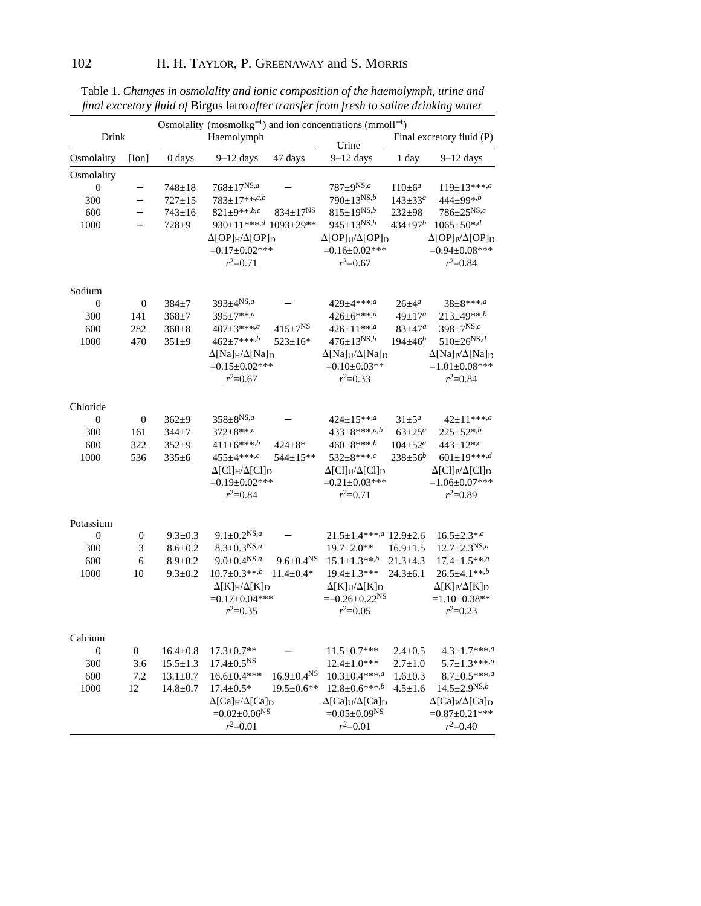|                     |                          | Osmolality (mosmolkg <sup>-1</sup> ) and ion concentrations (mmoll <sup>-1</sup> ) |                                                         |                              |                                                         |                           |                                                         |  |  |
|---------------------|--------------------------|------------------------------------------------------------------------------------|---------------------------------------------------------|------------------------------|---------------------------------------------------------|---------------------------|---------------------------------------------------------|--|--|
| Drink               |                          | Haemolymph                                                                         |                                                         |                              |                                                         | Final excretory fluid (P) |                                                         |  |  |
| Osmolality<br>[Ion] |                          | 0 days                                                                             | $9-12$ days                                             | 47 days                      | Urine<br>$9-12$ days                                    | 1 day                     | $9-12$ days                                             |  |  |
| Osmolality          |                          |                                                                                    |                                                         |                              |                                                         |                           |                                                         |  |  |
| $\boldsymbol{0}$    | -                        | $748 \pm 18$                                                                       | $768 \pm 17^{NS,a}$                                     |                              | $787\pm9^{NS,a}$                                        | $110 \pm 6^a$             | $119+13***,a$                                           |  |  |
| 300                 | -                        | $727 \pm 15$                                                                       | $783 \pm 17***$ ,a,b                                    |                              | $790 \pm 13^{NS,b}$                                     | $143 \pm 33^a$            | 444±99*,b                                               |  |  |
| 600                 | $\overline{\phantom{0}}$ | $743 \pm 16$                                                                       | $821 \pm 9**, b,c$                                      | $834 \pm 17^{NS}$            | $815 \pm 19^{NS,b}$                                     | $232 \pm 98$              | $786 \pm 25^{NS,c}$                                     |  |  |
| 1000                |                          | $728 + 9$                                                                          | 930±11***,d 1093±29**                                   |                              | $945 \pm 13^{NS,b}$                                     | $434 \pm 97^b$            | $1065 \pm 50$ *,d                                       |  |  |
|                     |                          |                                                                                    | $\Delta[OP]$ H/ $\Delta[OP]$ D                          |                              | $\Delta[OP]$ U/ $\Delta[OP]$ D                          |                           | $\Delta[OP]$ P/ $\Delta[OP]$ D                          |  |  |
|                     |                          |                                                                                    | $=0.17\pm0.02***$                                       |                              | $=0.16\pm0.02***$                                       |                           | $=0.94\pm0.08***$                                       |  |  |
|                     |                          |                                                                                    | $r^2=0.71$                                              |                              | $r^2=0.67$                                              |                           | $r^2=0.84$                                              |  |  |
| Sodium              |                          |                                                                                    |                                                         |                              |                                                         |                           |                                                         |  |  |
| $\boldsymbol{0}$    | $\mathbf{0}$             | 384±7                                                                              | $393 \pm 4^{NS,a}$                                      |                              | $429 \pm 4***$                                          | $26 \pm 4^a$              | $38+8***, a$                                            |  |  |
| 300                 | 141                      | $368 + 7$                                                                          | $395 \pm 7**, a$                                        |                              | $426 \pm 6***$                                          | $49 \pm 17^a$             | $213 \pm 49$ **,b                                       |  |  |
| 600                 | 282                      | $360 + 8$                                                                          | $407 \pm 3***$ , <i>a</i>                               | $415 \pm 7^{NS}$             | $426 \pm 11^{***,a}$                                    | $83 + 47^a$               | $398 \pm 7^{NS,c}$                                      |  |  |
| 1000                | 470                      | $351 \pm 9$                                                                        | $462+7***, b$                                           | $523 \pm 16*$                | $476+13^{N5,b}$                                         | $194 \pm 46^b$            | $510 \pm 26^{NS,d}$                                     |  |  |
|                     |                          |                                                                                    | $\Delta$ [Na] <sub>H</sub> / $\Delta$ [Na] <sub>D</sub> |                              | $\Delta$ [Na]U/ $\Delta$ [Na]D                          |                           | $\Delta$ [Na] <sub>P</sub> / $\Delta$ [Na] <sub>D</sub> |  |  |
|                     |                          |                                                                                    | $=0.15\pm0.02***$                                       |                              | $=0.10\pm0.03**$                                        |                           | $=1.01\pm0.08***$                                       |  |  |
|                     |                          |                                                                                    | $r^2=0.67$                                              |                              | $r^2=0.33$                                              |                           | $r^2 = 0.84$                                            |  |  |
| Chloride            |                          |                                                                                    |                                                         |                              |                                                         |                           |                                                         |  |  |
| 0                   | $\boldsymbol{0}$         | $362 + 9$                                                                          | $358 \pm 8^{NS,a}$                                      |                              | $424 \pm 15***^{a}$                                     | $31 \pm 5^a$              | $42 \pm 11***$                                          |  |  |
| 300                 | 161                      | $344 + 7$                                                                          | $372 \pm 8**, a$                                        |                              | $433\pm8***, a,b$                                       | $63 + 25^a$               | $225 \pm 52^{*,b}$                                      |  |  |
| 600                 | 322                      | $352 + 9$                                                                          | $411 \pm 6***$                                          | $424 \pm 8*$                 | $460 \pm 8$ ***,b                                       | $104 \pm 52^a$            | $443 \pm 12^{*,c}$                                      |  |  |
| 1000                | 536                      | $335 \pm 6$                                                                        | $455+4***$                                              | 544±15**                     | $532+8***$                                              | $238 \pm 56^b$            | $601 \pm 19***$                                         |  |  |
|                     |                          |                                                                                    | $\Delta$ [Cl] <sub>H</sub> / $\Delta$ [Cl] <sub>D</sub> |                              | $\Delta$ [Cl] <sub>U</sub> / $\Delta$ [Cl] <sub>D</sub> |                           | $\Delta$ [Cl] <sub>P</sub> / $\Delta$ [Cl] <sub>D</sub> |  |  |
|                     |                          |                                                                                    | $=0.19\pm0.02***$                                       |                              | $=0.21\pm0.03***$                                       |                           | $=1.06\pm0.07***$                                       |  |  |
|                     |                          |                                                                                    | $r^2 = 0.84$                                            |                              | $r^2=0.71$                                              |                           | $r^2=0.89$                                              |  |  |
| Potassium           |                          |                                                                                    |                                                         |                              |                                                         |                           |                                                         |  |  |
| $\boldsymbol{0}$    | 0                        | $9.3 \pm 0.3$                                                                      | $9.1 \pm 0.2^{NS,a}$                                    |                              | $21.5 \pm 1.4$ ***,a $12.9 \pm 2.6$                     |                           | $16.5 \pm 2.3$ *,a                                      |  |  |
| 300                 | 3                        | $8.6 \pm 0.2$                                                                      | $8.3 \pm 0.3^{NS,a}$                                    |                              | $19.7 \pm 2.0**$                                        | $16.9 \pm 1.5$            | $12.7 \pm 2.3^{NS,a}$                                   |  |  |
| 600                 | 6                        | $8.9 \pm 0.2$                                                                      | $9.0 \pm 0.4$ <sup>NS,a</sup>                           | $9.6 \pm 0.4$ <sup>NS</sup>  | $15.1 \pm 1.3$ **,b                                     | $21.3 \pm 4.3$            | $17.4 \pm 1.5$ **,a                                     |  |  |
| 1000                | 10                       | $9.3 \pm 0.2$                                                                      | $10.7 \pm 0.3$ **,b                                     | $11.4 \pm 0.4*$              | $19.4 \pm 1.3$ ***                                      | $24.3 \pm 6.1$            | $26.5 \pm 4.1$ **,b                                     |  |  |
|                     |                          |                                                                                    | $\Delta$ [K] <sub>H</sub> / $\Delta$ [K] <sub>D</sub>   |                              | $\Delta[K]_U/\Delta[K]_D$                               |                           | $\Delta$ [K] <sub>P</sub> / $\Delta$ [K] <sub>D</sub>   |  |  |
|                     |                          |                                                                                    | $=0.17 \pm 0.04$ ***                                    |                              | $=-0.26 \pm 0.22$ <sup>NS</sup>                         |                           | $=1.10\pm0.38**$                                        |  |  |
|                     |                          |                                                                                    | $r^2=0.35$                                              |                              | $r^2=0.05$                                              |                           | $r^2=0.23$                                              |  |  |
| Calcium             |                          |                                                                                    |                                                         |                              |                                                         |                           |                                                         |  |  |
| $\boldsymbol{0}$    | $\boldsymbol{0}$         | $16.4 \pm 0.8$                                                                     | $17.3 \pm 0.7**$                                        |                              | $11.5 \pm 0.7$ ***                                      | $2.4 \pm 0.5$             | $4.3 \pm 1.7$ ***,a                                     |  |  |
| 300                 | 3.6                      | $15.5 \pm 1.3$                                                                     | $17.4 \pm 0.5$ <sup>NS</sup>                            |                              | $12.4 \pm 1.0$ ***                                      | $2.7 \pm 1.0$             | $5.7 \pm 1.3$ ***, $a$                                  |  |  |
| 600                 | 7.2                      | $13.1 \pm 0.7$                                                                     | $16.6 \pm 0.4$ ***                                      | $16.9 \pm 0.4$ <sup>NS</sup> | $10.3 + 0.4$ ***,a                                      | $1.6 \pm 0.3$             | $8.7 \pm 0.5$ ***,a                                     |  |  |
| 1000                | 12                       | $14.8 \pm 0.7$                                                                     | $17.4 \pm 0.5*$                                         | $19.5 \pm 0.6**$             | $12.8 \pm 0.6$ ***,b                                    | $4.5 \pm 1.6$             | $14.5 \pm 2.9$ <sup>NS,b</sup>                          |  |  |
|                     |                          |                                                                                    | $\Delta$ [Ca] <sub>H</sub> / $\Delta$ [Ca] <sub>D</sub> |                              | $\Delta$ [Ca] <sub>U</sub> / $\Delta$ [Ca] <sub>D</sub> |                           | $\Delta$ [Ca] <sub>P</sub> / $\Delta$ [Ca] <sub>D</sub> |  |  |
|                     |                          |                                                                                    | $=0.02 \pm 0.06$ <sup>NS</sup>                          |                              | $=0.05\pm0.09^{NS}$                                     |                           | $=0.87\pm0.21***$                                       |  |  |
|                     |                          |                                                                                    | $r^2=0.01$                                              |                              | $r^2=0.01$                                              |                           | $r^2=0.40$                                              |  |  |

Table 1. *Changes in osmolality and ionic composition of the haemolymph, urine and final excretory fluid of* Birgus latro *after transfer from fresh to saline drinking water*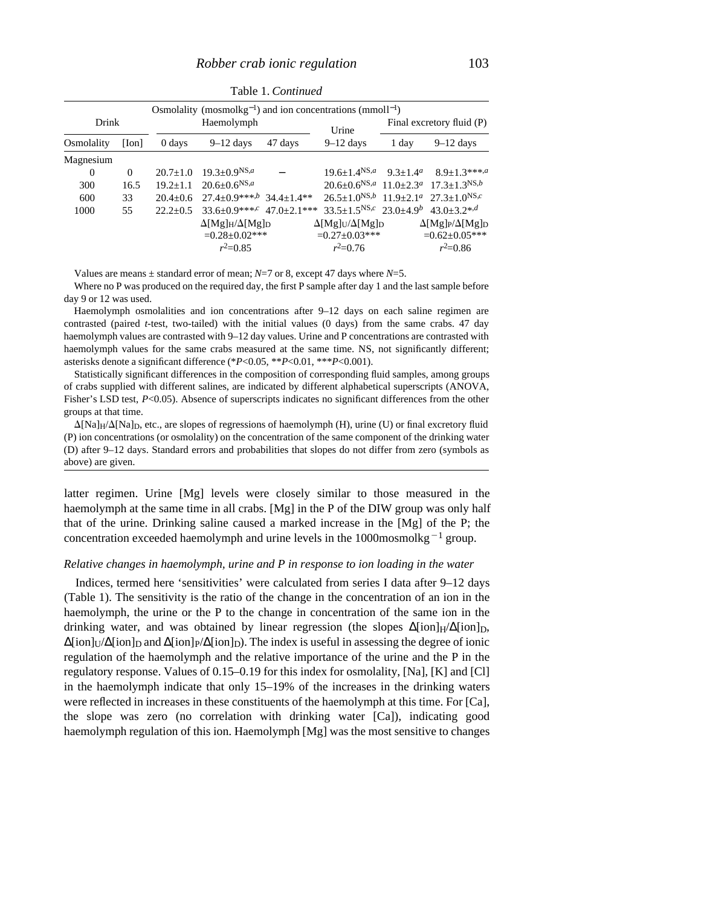|            |          |                    | Osmolality (mosmolkg <sup>-1</sup> ) and ion concentrations (mmoll <sup>-1</sup> ) |         |                                                                                                 |                           |                                                                         |  |
|------------|----------|--------------------|------------------------------------------------------------------------------------|---------|-------------------------------------------------------------------------------------------------|---------------------------|-------------------------------------------------------------------------|--|
| Drink      |          | Haemolymph         |                                                                                    |         | Urine                                                                                           | Final excretory fluid (P) |                                                                         |  |
| Osmolality | [Ion]    | $0 \, \text{days}$ | $9-12$ days                                                                        | 47 days | $9-12$ days                                                                                     | 1 day                     | $9-12$ days                                                             |  |
| Magnesium  |          |                    |                                                                                    |         |                                                                                                 |                           |                                                                         |  |
| $\Omega$   | $\Omega$ | $20.7 \pm 1.0$     | $19.3 \pm 0.9$ <sup>NS,a</sup>                                                     |         |                                                                                                 |                           | $19.6 \pm 1.4^{NS,a}$ $9.3 \pm 1.4^a$ $8.9 \pm 1.3^{***,a}$             |  |
| 300        | 16.5     | $19.2 + 1.1$       | $20.6 + 0.6$ <sup>NS,a</sup>                                                       |         |                                                                                                 |                           | $20.6 \pm 0.6^{NS,a}$ 11.0 $\pm 2.3^a$ 17.3 $\pm 1.3^{NS,b}$            |  |
| 600        | 33       | $20.4+0.6$         | $27.4+0.9***$ <sup>1</sup> $34.4+1.4**$                                            |         |                                                                                                 |                           | $26.5+1.0^{NS,b}$ 11.9+2.1 <sup><i>a</i></sup> 27.3+1.0 <sup>NS,c</sup> |  |
| 1000       | 55       | $22.2+0.5$         |                                                                                    |         | $33.6+0.9***$ $47.0+2.1***$ $33.5+1.5$ <sup>NS, <math>c</math></sup> $23.0+4.9$ $43.0+3.2*$ $d$ |                           |                                                                         |  |
|            |          |                    | $\Delta [Mg]_H/\Delta [Mg]_D$                                                      |         | $\Delta [Mg]_U/\Delta [Mg]_D$                                                                   |                           | $\Delta [Mg]_P/\Delta [Mg]_D$                                           |  |
|            |          |                    | $=0.28 \pm 0.02$ ***                                                               |         | $=0.27\pm0.03***$                                                                               |                           | $=0.62\pm0.05***$                                                       |  |
|            |          |                    | $r^2=0.85$                                                                         |         | $r^2=0.76$                                                                                      |                           | $r^2=0.86$                                                              |  |

Table 1. *Continued*

Values are means  $\pm$  standard error of mean; *N*=7 or 8, except 47 days where *N*=5.

Where no P was produced on the required day, the first P sample after day 1 and the last sample before day 9 or 12 was used.

Haemolymph osmolalities and ion concentrations after 9–12 days on each saline regimen are contrasted (paired *t*-test, two-tailed) with the initial values (0 days) from the same crabs. 47 day haemolymph values are contrasted with 9–12 day values. Urine and P concentrations are contrasted with haemolymph values for the same crabs measured at the same time. NS, not significantly different; asterisks denote a significant difference (\**P*<0.05, \*\**P*<0.01, \*\*\**P*<0.001).

Statistically significant differences in the composition of corresponding fluid samples, among groups of crabs supplied with different salines, are indicated by different alphabetical superscripts (ANOVA, Fisher's LSD test, *P*<0.05). Absence of superscripts indicates no significant differences from the other groups at that time.

 $\Delta$ [Na]<sub>H</sub>/ $\Delta$ [Na]<sub>D</sub>, etc., are slopes of regressions of haemolymph (H), urine (U) or final excretory fluid (P) ion concentrations (or osmolality) on the concentration of the same component of the drinking water (D) after 9–12 days. Standard errors and probabilities that slopes do not differ from zero (symbols as above) are given.

latter regimen. Urine [Mg] levels were closely similar to those measured in the haemolymph at the same time in all crabs. [Mg] in the P of the DIW group was only half that of the urine. Drinking saline caused a marked increase in the [Mg] of the P; the concentration exceeded haemolymph and urine levels in the 1000mosmolkg<sup>-1</sup> group.

#### *Relative changes in haemolymph, urine and P in response to ion loading in the water*

Indices, termed here 'sensitivities' were calculated from series I data after 9–12 days (Table 1). The sensitivity is the ratio of the change in the concentration of an ion in the haemolymph, the urine or the P to the change in concentration of the same ion in the drinking water, and was obtained by linear regression (the slopes  $\lceil \text{ion} \rceil_{\text{H}} / \lceil \text{ion} \rceil_{\text{D}}$ ,  $[ion]<sub>U</sub>/ [ion]<sub>D</sub>$  and  $[ion]<sub>P</sub>/ [ion]<sub>D</sub>$ . The index is useful in assessing the degree of ionic regulation of the haemolymph and the relative importance of the urine and the P in the regulatory response. Values of 0.15–0.19 for this index for osmolality, [Na], [K] and [Cl] in the haemolymph indicate that only 15–19% of the increases in the drinking waters were reflected in increases in these constituents of the haemolymph at this time. For [Ca], the slope was zero (no correlation with drinking water [Ca]), indicating good haemolymph regulation of this ion. Haemolymph [Mg] was the most sensitive to changes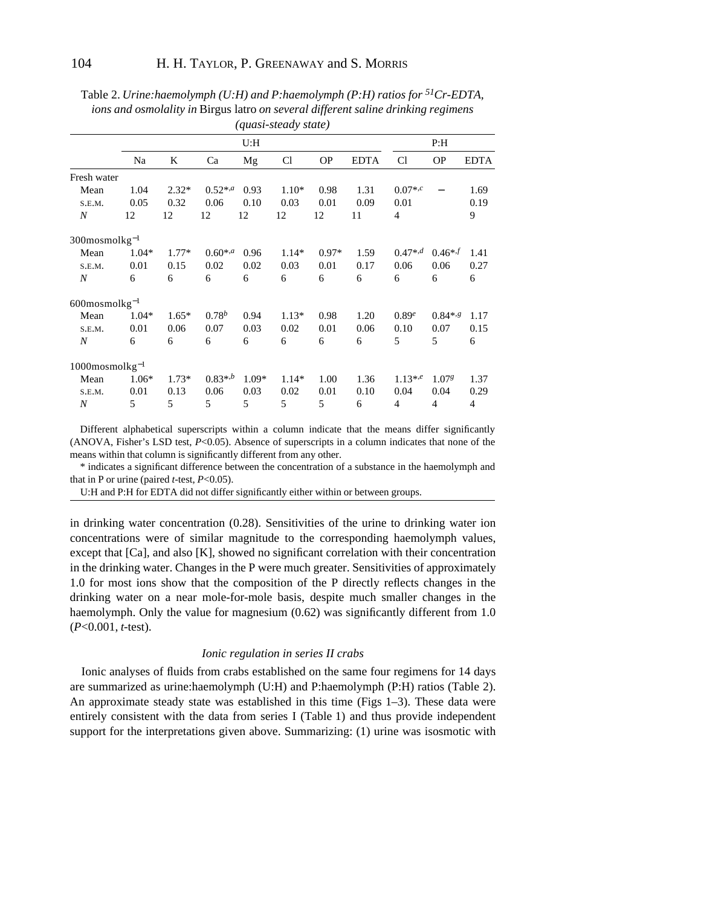|                         |         |         |              |         | (yuust-sieuu y siule) |           |             |                   |                          |             |
|-------------------------|---------|---------|--------------|---------|-----------------------|-----------|-------------|-------------------|--------------------------|-------------|
|                         | U: H    |         |              |         |                       |           | P: H        |                   |                          |             |
|                         | Na      | K       | Ca           | Mg      | <b>Cl</b>             | <b>OP</b> | <b>EDTA</b> | C <sub>1</sub>    | <b>OP</b>                | <b>EDTA</b> |
| Fresh water             |         |         |              |         |                       |           |             |                   |                          |             |
| Mean                    | 1.04    | $2.32*$ | $0.52^{*,a}$ | 0.93    | $1.10*$               | 0.98      | 1.31        | $0.07^{*,c}$      | $\overline{\phantom{0}}$ | 1.69        |
| S.E.M.                  | 0.05    | 0.32    | 0.06         | 0.10    | 0.03                  | 0.01      | 0.09        | 0.01              |                          | 0.19        |
| $\boldsymbol{N}$        | 12      | 12      | 12           | 12      | 12                    | 12        | 11          | $\overline{4}$    |                          | 9           |
| $300$ mosmol $kg^{-1}$  |         |         |              |         |                       |           |             |                   |                          |             |
| Mean                    | $1.04*$ | $1.77*$ | $0.60^{*,a}$ | 0.96    | $1.14*$               | $0.97*$   | 1.59        | $0.47^{*,d}$      | $0.46* f$                | 1.41        |
| S.E.M.                  | 0.01    | 0.15    | 0.02         | 0.02    | 0.03                  | 0.01      | 0.17        | 0.06              | 0.06                     | 0.27        |
| $\boldsymbol{N}$        | 6       | 6       | 6            | 6       | 6                     | 6         | 6           | 6                 | 6                        | 6           |
| $600$ mosmol $kg^{-1}$  |         |         |              |         |                       |           |             |                   |                          |             |
| Mean                    | $1.04*$ | $1.65*$ | $0.78^{b}$   | 0.94    | $1.13*$               | 0.98      | 1.20        | 0.89 <sup>e</sup> | $0.84^{*,g}$             | 1.17        |
| S.E.M.                  | 0.01    | 0.06    | 0.07         | 0.03    | 0.02                  | 0.01      | 0.06        | 0.10              | 0.07                     | 0.15        |
| $\boldsymbol{N}$        | 6       | 6       | 6            | 6       | 6                     | 6         | 6           | 5                 | 5                        | 6           |
| $1000$ mosmol $kg^{-1}$ |         |         |              |         |                       |           |             |                   |                          |             |
| Mean                    | $1.06*$ | $1.73*$ | $0.83^{*,b}$ | $1.09*$ | $1.14*$               | 1.00      | 1.36        | $1.13^{*,e}$      | 1.07 <sup>g</sup>        | 1.37        |
| S.E.M.                  | 0.01    | 0.13    | 0.06         | 0.03    | 0.02                  | 0.01      | 0.10        | 0.04              | 0.04                     | 0.29        |
| $\boldsymbol{N}$        | 5       | 5       | 5            | 5       | 5                     | 5         | 6           | 4                 | 4                        | 4           |

Table 2. *Urine:haemolymph (U:H) and P:haemolymph (P:H) ratios for 51Cr-EDTA, ions and osmolality in* Birgus latro *on several different saline drinking regimens (quasi-steady state)*

Different alphabetical superscripts within a column indicate that the means differ significantly (ANOVA, Fisher's LSD test, *P*<0.05). Absence of superscripts in a column indicates that none of the means within that column is significantly different from any other.

\* indicates a significant difference between the concentration of a substance in the haemolymph and that in P or urine (paired *t*-test, *P*<0.05).

U:H and P:H for EDTA did not differ significantly either within or between groups.

in drinking water concentration (0.28). Sensitivities of the urine to drinking water ion concentrations were of similar magnitude to the corresponding haemolymph values, except that [Ca], and also [K], showed no significant correlation with their concentration in the drinking water. Changes in the P were much greater. Sensitivities of approximately 1.0 for most ions show that the composition of the P directly reflects changes in the drinking water on a near mole-for-mole basis, despite much smaller changes in the haemolymph. Only the value for magnesium  $(0.62)$  was significantly different from 1.0 (*P*<0.001, *t*-test).

# *Ionic regulation in series II crabs*

Ionic analyses of fluids from crabs established on the same four regimens for 14 days are summarized as urine:haemolymph (U:H) and P:haemolymph (P:H) ratios (Table 2). An approximate steady state was established in this time (Figs 1–3). These data were entirely consistent with the data from series I (Table 1) and thus provide independent support for the interpretations given above. Summarizing: (1) urine was isosmotic with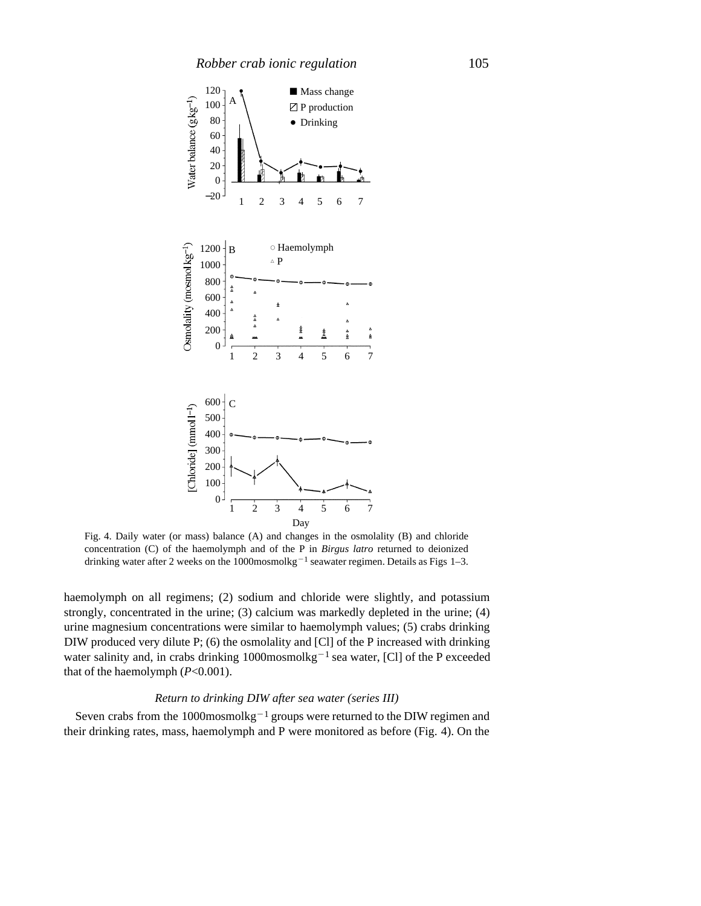

Fig. 4. Daily water (or mass) balance (A) and changes in the osmolality (B) and chloride concentration (C) of the haemolymph and of the P in *Birgus latro* returned to deionized drinking water after 2 weeks on the 1000mosmolkg<sup>-1</sup> seawater regimen. Details as Figs 1-3.

haemolymph on all regimens; (2) sodium and chloride were slightly, and potassium strongly, concentrated in the urine; (3) calcium was markedly depleted in the urine; (4) urine magnesium concentrations were similar to haemolymph values; (5) crabs drinking DIW produced very dilute P; (6) the osmolality and [Cl] of the P increased with drinking water salinity and, in crabs drinking  $1000$ mosmolkg<sup>-1</sup> sea water, [Cl] of the P exceeded that of the haemolymph (*P*<0.001).

# *Return to drinking DIW after sea water (series III)*

Seven crabs from the  $1000$ mosmol $kg^{-1}$  groups were returned to the DIW regimen and their drinking rates, mass, haemolymph and P were monitored as before (Fig. 4). On the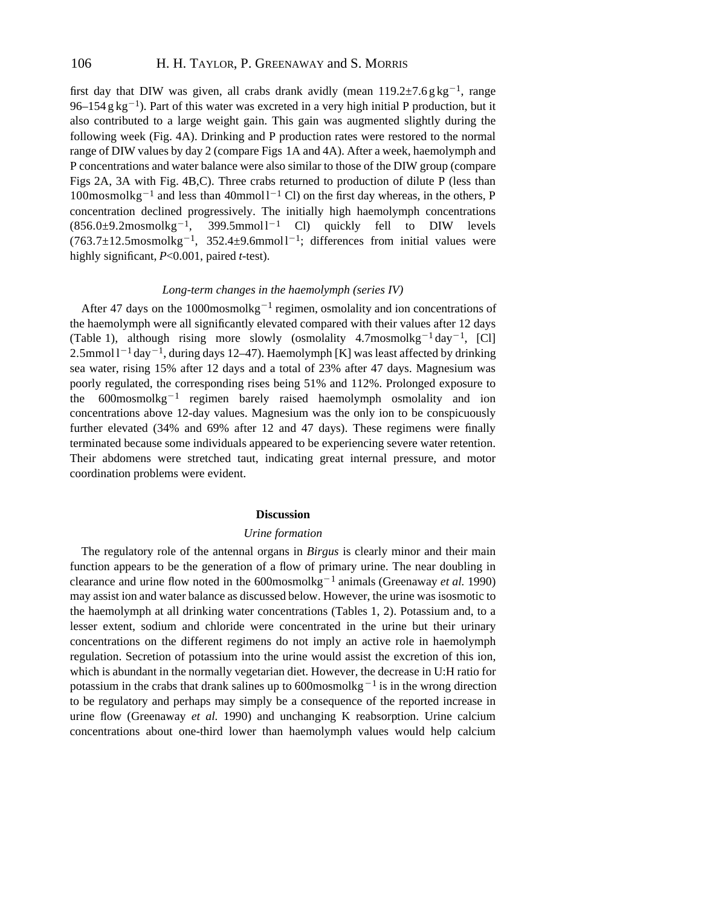first day that DIW was given, all crabs drank avidly (mean  $119.2 \pm 7.6$  g kg<sup>-1</sup>, range 96–154 g kg<sup>-1</sup>). Part of this water was excreted in a very high initial P production, but it also contributed to a large weight gain. This gain was augmented slightly during the following week (Fig. 4A). Drinking and P production rates were restored to the normal range of DIW values by day 2 (compare Figs 1A and 4A). After a week, haemolymph and P concentrations and water balance were also similar to those of the DIW group (compare Figs 2A, 3A with Fig. 4B,C). Three crabs returned to production of dilute P (less than  $100$ mosmolkg<sup>-1</sup> and less than  $40$ mmol l<sup>-1</sup> Cl) on the first day whereas, in the others, P concentration declined progressively. The initially high haemolymph concentrations  $(856.0\pm9.2$ mosmolkg<sup>-1</sup>, 399.5mmol 1<sup>-1</sup> Cl) quickly fell to DIW levels  $(763.7 \pm 12.5 \text{mosmolkg}^{-1}, 352.4 \pm 9.6 \text{mmol}^{-1};$  differences from initial values were highly significant, *P*<0.001, paired *t*-test).

# *Long-term changes in the haemolymph (series IV)*

After 47 days on the  $1000$ mosmolkg<sup>-1</sup> regimen, osmolality and ion concentrations of the haemolymph were all significantly elevated compared with their values after 12 days (Table 1), although rising more slowly (osmolality  $4.7$ mosmolkg<sup>-1</sup> day<sup>-1</sup>, [Cl]  $2.5$ mmol  $1^{-1}$ day $^{-1}$ , during days 12–47). Haemolymph [K] was least affected by drinking sea water, rising 15% after 12 days and a total of 23% after 47 days. Magnesium was poorly regulated, the corresponding rises being 51% and 112%. Prolonged exposure to the  $600$ mosmolkg<sup>-1</sup> regimen barely raised haemolymph osmolality and ion concentrations above 12-day values. Magnesium was the only ion to be conspicuously further elevated (34% and 69% after 12 and 47 days). These regimens were finally terminated because some individuals appeared to be experiencing severe water retention. Their abdomens were stretched taut, indicating great internal pressure, and motor coordination problems were evident.

# **Discussion**

#### *Urine formation*

The regulatory role of the antennal organs in *Birgus* is clearly minor and their main function appears to be the generation of a flow of primary urine. The near doubling in clearance and urine flow noted in the  $600$ mosmolkg<sup>-1</sup> animals (Greenaway *et al.* 1990) may assist ion and water balance as discussed below. However, the urine was isosmotic to the haemolymph at all drinking water concentrations (Tables 1, 2). Potassium and, to a lesser extent, sodium and chloride were concentrated in the urine but their urinary concentrations on the different regimens do not imply an active role in haemolymph regulation. Secretion of potassium into the urine would assist the excretion of this ion, which is abundant in the normally vegetarian diet. However, the decrease in U:H ratio for potassium in the crabs that drank salines up to 600mosmolkg<sup> $-1$ </sup> is in the wrong direction to be regulatory and perhaps may simply be a consequence of the reported increase in urine flow (Greenaway *et al.* 1990) and unchanging K reabsorption. Urine calcium concentrations about one-third lower than haemolymph values would help calcium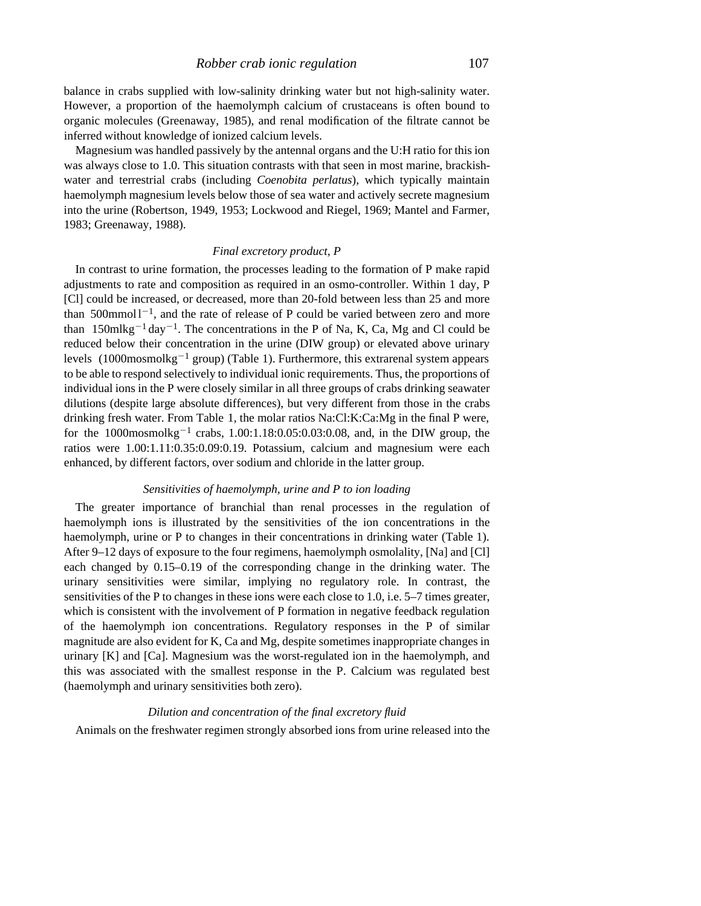balance in crabs supplied with low-salinity drinking water but not high-salinity water. However, a proportion of the haemolymph calcium of crustaceans is often bound to organic molecules (Greenaway, 1985), and renal modification of the filtrate cannot be inferred without knowledge of ionized calcium levels.

Magnesium was handled passively by the antennal organs and the U:H ratio for this ion was always close to 1.0. This situation contrasts with that seen in most marine, brackishwater and terrestrial crabs (including *Coenobita perlatus*), which typically maintain haemolymph magnesium levels below those of sea water and actively secrete magnesium into the urine (Robertson, 1949, 1953; Lockwood and Riegel, 1969; Mantel and Farmer, 1983; Greenaway, 1988).

# *Final excretory product, P*

In contrast to urine formation, the processes leading to the formation of P make rapid adjustments to rate and composition as required in an osmo-controller. Within 1 day, P [Cl] could be increased, or decreased, more than 20-fold between less than 25 and more than  $500$ mmol $1^{-1}$ , and the rate of release of P could be varied between zero and more than  $150$ mlkg<sup>-1</sup> day<sup>-1</sup>. The concentrations in the P of Na, K, Ca, Mg and Cl could be reduced below their concentration in the urine (DIW group) or elevated above urinary levels  $(1000 \text{mosmolkg}^{-1} \text{ group})$  (Table 1). Furthermore, this extrarenal system appears to be able to respond selectively to individual ionic requirements. Thus, the proportions of individual ions in the P were closely similar in all three groups of crabs drinking seawater dilutions (despite large absolute differences), but very different from those in the crabs drinking fresh water. From Table 1, the molar ratios Na:Cl:K:Ca:Mg in the final P were, for the 1000mosmolkg<sup>-1</sup> crabs, 1.00:1.18:0.05:0.03:0.08, and, in the DIW group, the ratios were 1.00:1.11:0.35:0.09:0.19. Potassium, calcium and magnesium were each enhanced, by different factors, over sodium and chloride in the latter group.

# *Sensitivities of haemolymph, urine and P to ion loading*

The greater importance of branchial than renal processes in the regulation of haemolymph ions is illustrated by the sensitivities of the ion concentrations in the haemolymph, urine or P to changes in their concentrations in drinking water (Table 1). After 9–12 days of exposure to the four regimens, haemolymph osmolality, [Na] and [Cl] each changed by 0.15–0.19 of the corresponding change in the drinking water. The urinary sensitivities were similar, implying no regulatory role. In contrast, the sensitivities of the P to changes in these ions were each close to 1.0, i.e. 5–7 times greater, which is consistent with the involvement of P formation in negative feedback regulation of the haemolymph ion concentrations. Regulatory responses in the P of similar magnitude are also evident for K, Ca and Mg, despite sometimes inappropriate changes in urinary [K] and [Ca]. Magnesium was the worst-regulated ion in the haemolymph, and this was associated with the smallest response in the P. Calcium was regulated best (haemolymph and urinary sensitivities both zero).

#### *Dilution and concentration of the final excretory fluid*

Animals on the freshwater regimen strongly absorbed ions from urine released into the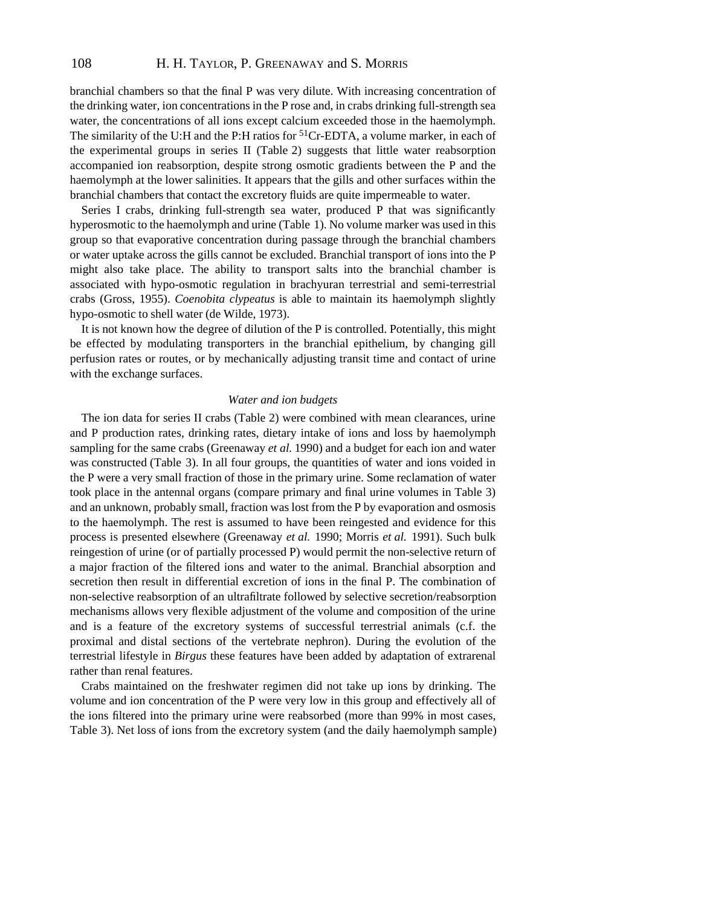branchial chambers so that the final P was very dilute. With increasing concentration of the drinking water, ion concentrations in the P rose and, in crabs drinking full-strength sea water, the concentrations of all ions except calcium exceeded those in the haemolymph. The similarity of the U:H and the P:H ratios for  ${}^{51}Cr$ -EDTA, a volume marker, in each of the experimental groups in series II (Table 2) suggests that little water reabsorption accompanied ion reabsorption, despite strong osmotic gradients between the P and the haemolymph at the lower salinities. It appears that the gills and other surfaces within the branchial chambers that contact the excretory fluids are quite impermeable to water.

Series I crabs, drinking full-strength sea water, produced P that was significantly hyperosmotic to the haemolymph and urine (Table 1). No volume marker was used in this group so that evaporative concentration during passage through the branchial chambers or water uptake across the gills cannot be excluded. Branchial transport of ions into the P might also take place. The ability to transport salts into the branchial chamber is associated with hypo-osmotic regulation in brachyuran terrestrial and semi-terrestrial crabs (Gross, 1955). *Coenobita clypeatus* is able to maintain its haemolymph slightly hypo-osmotic to shell water (de Wilde, 1973).

It is not known how the degree of dilution of the P is controlled. Potentially, this might be effected by modulating transporters in the branchial epithelium, by changing gill perfusion rates or routes, or by mechanically adjusting transit time and contact of urine with the exchange surfaces.

#### *Water and ion budgets*

The ion data for series II crabs (Table 2) were combined with mean clearances, urine and P production rates, drinking rates, dietary intake of ions and loss by haemolymph sampling for the same crabs (Greenaway *et al.* 1990) and a budget for each ion and water was constructed (Table 3). In all four groups, the quantities of water and ions voided in the P were a very small fraction of those in the primary urine. Some reclamation of water took place in the antennal organs (compare primary and final urine volumes in Table 3) and an unknown, probably small, fraction was lost from the P by evaporation and osmosis to the haemolymph. The rest is assumed to have been reingested and evidence for this process is presented elsewhere (Greenaway *et al.* 1990; Morris *et al.* 1991). Such bulk reingestion of urine (or of partially processed P) would permit the non-selective return of a major fraction of the filtered ions and water to the animal. Branchial absorption and secretion then result in differential excretion of ions in the final P. The combination of non-selective reabsorption of an ultrafiltrate followed by selective secretion/reabsorption mechanisms allows very flexible adjustment of the volume and composition of the urine and is a feature of the excretory systems of successful terrestrial animals (c.f. the proximal and distal sections of the vertebrate nephron). During the evolution of the terrestrial lifestyle in *Birgus* these features have been added by adaptation of extrarenal rather than renal features.

Crabs maintained on the freshwater regimen did not take up ions by drinking. The volume and ion concentration of the P were very low in this group and effectively all of the ions filtered into the primary urine were reabsorbed (more than 99% in most cases, Table 3). Net loss of ions from the excretory system (and the daily haemolymph sample)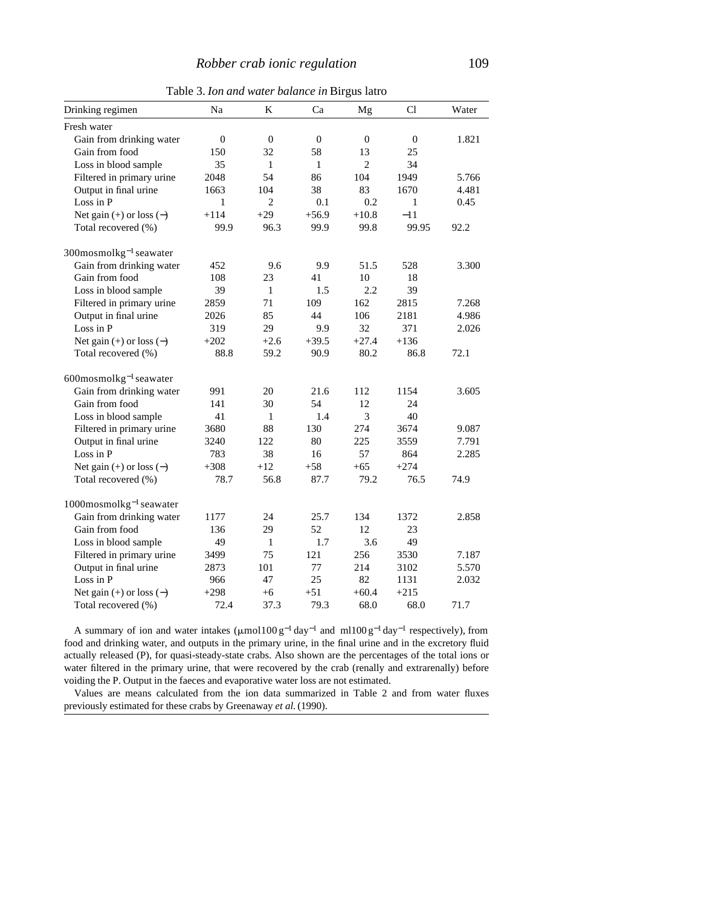| the strong maner sammel in <b>Drigus</b> nulls |              |                  |                  |                |              |       |  |  |  |
|------------------------------------------------|--------------|------------------|------------------|----------------|--------------|-------|--|--|--|
| Drinking regimen                               | Na           | K                | Ca               | Mg             | Cl           | Water |  |  |  |
| Fresh water                                    |              |                  |                  |                |              |       |  |  |  |
| Gain from drinking water                       | $\mathbf{0}$ | $\boldsymbol{0}$ | $\boldsymbol{0}$ | $\mathbf{0}$   | $\mathbf{0}$ | 1.821 |  |  |  |
| Gain from food                                 | 150          | 32               | 58               | 13             | 25           |       |  |  |  |
| Loss in blood sample                           | 35           | 1                | $\mathbf{1}$     | $\overline{2}$ | 34           |       |  |  |  |
| Filtered in primary urine                      | 2048         | 54               | 86               | 104            | 1949         | 5.766 |  |  |  |
| Output in final urine                          | 1663         | 104              | 38               | 83             | 1670         | 4.481 |  |  |  |
| Loss in P                                      | $\mathbf{1}$ | $\overline{2}$   | 0.1              | 0.2            | $\mathbf{1}$ | 0.45  |  |  |  |
| Net gain $(+)$ or loss $(-)$                   | $+114$       | $+29$            | $+56.9$          | $+10.8$        | $-11$        |       |  |  |  |
| Total recovered (%)                            | 99.9         | 96.3             | 99.9             | 99.8           | 99.95        | 92.2  |  |  |  |
| $300$ mosmol $kg^{-1}$ seawater                |              |                  |                  |                |              |       |  |  |  |
| Gain from drinking water                       | 452          | 9.6              | 9.9              | 51.5           | 528          | 3.300 |  |  |  |
| Gain from food                                 | 108          | 23               | 41               | 10             | 18           |       |  |  |  |
| Loss in blood sample                           | 39           | $\mathbf{1}$     | 1.5              | 2.2            | 39           |       |  |  |  |
| Filtered in primary urine                      | 2859         | 71               | 109              | 162            | 2815         | 7.268 |  |  |  |
| Output in final urine                          | 2026         | 85               | 44               | 106            | 2181         | 4.986 |  |  |  |
| Loss in P                                      | 319          | 29               | 9.9              | 32             | 371          | 2.026 |  |  |  |
| Net gain $(+)$ or loss $(-)$                   | $+202$       | $+2.6$           | $+39.5$          | $+27.4$        | $+136$       |       |  |  |  |
| Total recovered (%)                            | 88.8         | 59.2             | 90.9             | 80.2           | 86.8         | 72.1  |  |  |  |
| $600$ mosmol $kg^{-1}$ seawater                |              |                  |                  |                |              |       |  |  |  |
| Gain from drinking water                       | 991          | 20               | 21.6             | 112            | 1154         | 3.605 |  |  |  |
| Gain from food                                 | 141          | 30               | 54               | 12             | 24           |       |  |  |  |
| Loss in blood sample                           | 41           | 1                | 1.4              | 3              | 40           |       |  |  |  |
| Filtered in primary urine                      | 3680         | 88               | 130              | 274            | 3674         | 9.087 |  |  |  |
| Output in final urine                          | 3240         | 122              | 80               | 225            | 3559         | 7.791 |  |  |  |
| Loss in P                                      | 783          | 38               | 16               | 57             | 864          | 2.285 |  |  |  |
| Net gain $(+)$ or loss $(-)$                   | $+308$       | $+12$            | $+58$            | $+65$          | $+274$       |       |  |  |  |
| Total recovered (%)                            | 78.7         | 56.8             | 87.7             | 79.2           | 76.5         | 74.9  |  |  |  |
| $1000$ mosmol $kg^{-1}$ seawater               |              |                  |                  |                |              |       |  |  |  |
| Gain from drinking water                       | 1177         | 24               | 25.7             | 134            | 1372         | 2.858 |  |  |  |
| Gain from food                                 | 136          | 29               | 52               | 12             | 23           |       |  |  |  |
| Loss in blood sample                           | 49           | 1                | 1.7              | 3.6            | 49           |       |  |  |  |
| Filtered in primary urine                      | 3499         | 75               | 121              | 256            | 3530         | 7.187 |  |  |  |
| Output in final urine                          | 2873         | 101              | 77               | 214            | 3102         | 5.570 |  |  |  |
| Loss in P                                      | 966          | 47               | 25               | 82             | 1131         | 2.032 |  |  |  |
| Net gain $(+)$ or loss $(-)$                   | $+298$       | $+6$             | $+51$            | $+60.4$        | $+215$       |       |  |  |  |
| Total recovered (%)                            | 72.4         | 37.3             | 79.3             | 68.0           | 68.0         | 71.7  |  |  |  |

Table 3. *Ion and water balance in* Birgus latro

A summary of ion and water intakes ( $\mu$ mol100 g<sup>-1</sup> day<sup>-1</sup> and ml100 g<sup>-1</sup> day<sup>-1</sup> respectively), from food and drinking water, and outputs in the primary urine, in the final urine and in the excretory fluid actually released (P), for quasi-steady-state crabs. Also shown are the percentages of the total ions or water filtered in the primary urine, that were recovered by the crab (renally and extrarenally) before voiding the P. Output in the faeces and evaporative water loss are not estimated.

Values are means calculated from the ion data summarized in Table 2 and from water fluxes previously estimated for these crabs by Greenaway *et al.* (1990).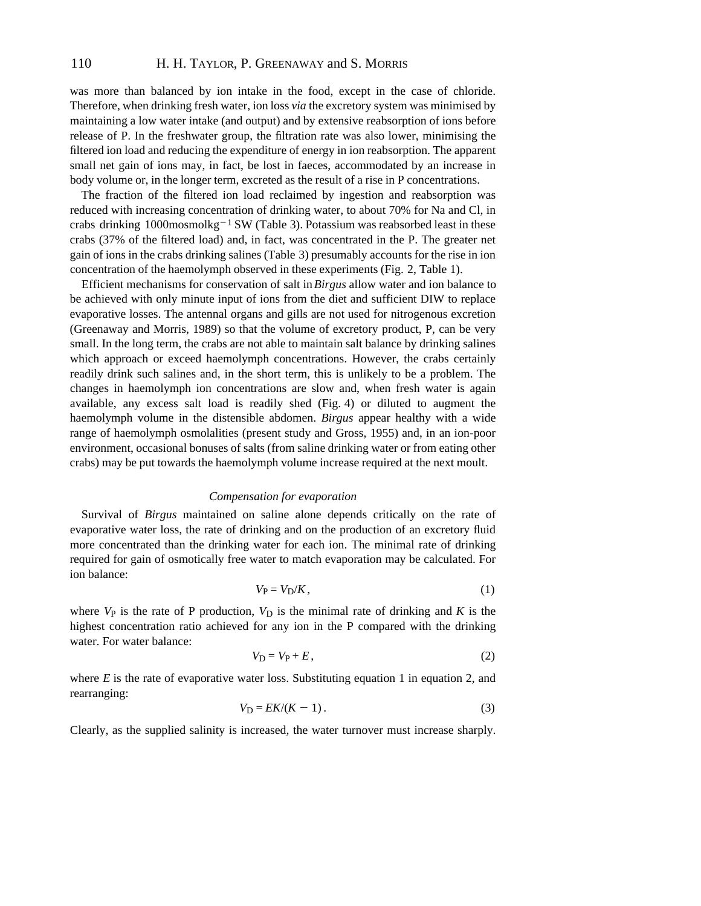was more than balanced by ion intake in the food, except in the case of chloride. Therefore, when drinking fresh water, ion loss *via* the excretory system was minimised by maintaining a low water intake (and output) and by extensive reabsorption of ions before release of P. In the freshwater group, the filtration rate was also lower, minimising the filtered ion load and reducing the expenditure of energy in ion reabsorption. The apparent small net gain of ions may, in fact, be lost in faeces, accommodated by an increase in body volume or, in the longer term, excreted as the result of a rise in P concentrations.

The fraction of the filtered ion load reclaimed by ingestion and reabsorption was reduced with increasing concentration of drinking water, to about 70% for Na and Cl, in crabs drinking  $1000$ mosmolkg<sup>-1</sup> SW (Table 3). Potassium was reabsorbed least in these crabs (37% of the filtered load) and, in fact, was concentrated in the P. The greater net gain of ions in the crabs drinking salines (Table 3) presumably accounts for the rise in ion concentration of the haemolymph observed in these experiments (Fig. 2, Table 1).

Efficient mechanisms for conservation of salt in *Birgus* allow water and ion balance to be achieved with only minute input of ions from the diet and sufficient DIW to replace evaporative losses. The antennal organs and gills are not used for nitrogenous excretion (Greenaway and Morris, 1989) so that the volume of excretory product, P, can be very small. In the long term, the crabs are not able to maintain salt balance by drinking salines which approach or exceed haemolymph concentrations. However, the crabs certainly readily drink such salines and, in the short term, this is unlikely to be a problem. The changes in haemolymph ion concentrations are slow and, when fresh water is again available, any excess salt load is readily shed (Fig. 4) or diluted to augment the haemolymph volume in the distensible abdomen. *Birgus* appear healthy with a wide range of haemolymph osmolalities (present study and Gross, 1955) and, in an ion-poor environment, occasional bonuses of salts (from saline drinking water or from eating other crabs) may be put towards the haemolymph volume increase required at the next moult.

# *Compensation for evaporation*

Survival of *Birgus* maintained on saline alone depends critically on the rate of evaporative water loss, the rate of drinking and on the production of an excretory fluid more concentrated than the drinking water for each ion. The minimal rate of drinking required for gain of osmotically free water to match evaporation may be calculated. For ion balance:

$$
V_{\rm P} = V_{\rm D}/K\,,\tag{1}
$$

where  $V_P$  is the rate of P production,  $V_D$  is the minimal rate of drinking and  $K$  is the highest concentration ratio achieved for any ion in the P compared with the drinking water. For water balance:

$$
V_{\rm D} = V_{\rm P} + E, \tag{2}
$$

where  $E$  is the rate of evaporative water loss. Substituting equation 1 in equation 2, and rearranging:

$$
V_{\rm D} = E K / (K - 1) \,. \tag{3}
$$

Clearly, as the supplied salinity is increased, the water turnover must increase sharply.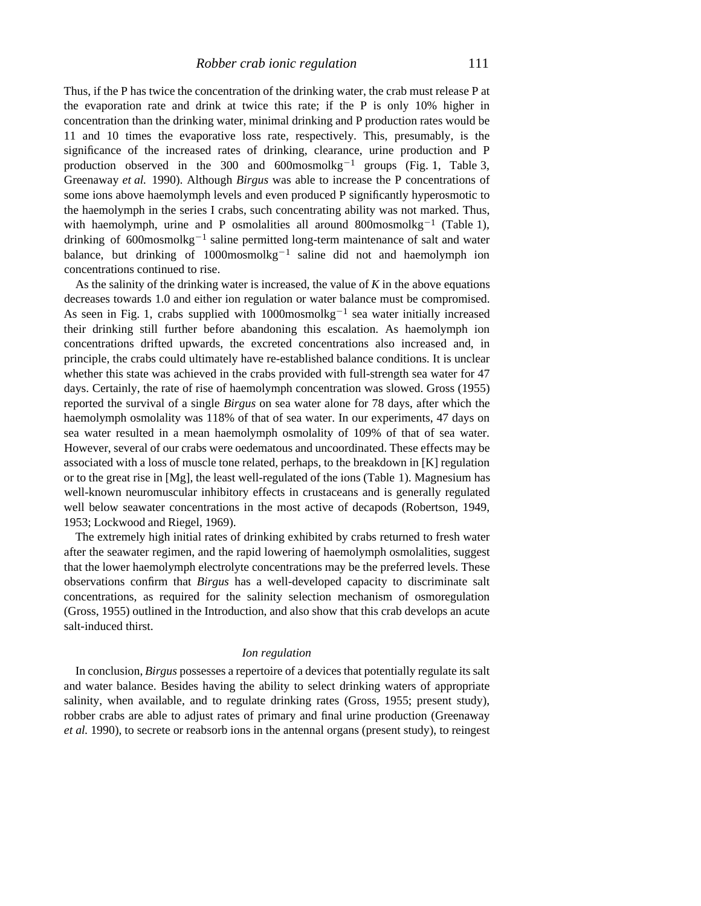Thus, if the P has twice the concentration of the drinking water, the crab must release P at the evaporation rate and drink at twice this rate; if the P is only 10% higher in concentration than the drinking water, minimal drinking and P production rates would be 11 and 10 times the evaporative loss rate, respectively. This, presumably, is the significance of the increased rates of drinking, clearance, urine production and P production observed in the 300 and  $600$ mosmolkg<sup>-1</sup> groups (Fig. 1, Table 3, Greenaway *et al.* 1990). Although *Birgus* was able to increase the P concentrations of some ions above haemolymph levels and even produced P significantly hyperosmotic to the haemolymph in the series I crabs, such concentrating ability was not marked. Thus, with haemolymph, urine and P osmolalities all around  $800$ mosmolkg<sup>-1</sup> (Table 1), drinking of  $600$ mosmolkg<sup>-1</sup> saline permitted long-term maintenance of salt and water balance, but drinking of  $1000$ mosmolkg<sup>-1</sup> saline did not and haemolymph ion concentrations continued to rise.

As the salinity of the drinking water is increased, the value of *K* in the above equations decreases towards 1.0 and either ion regulation or water balance must be compromised. As seen in Fig. 1, crabs supplied with  $1000$ mosmolkg<sup>-1</sup> sea water initially increased their drinking still further before abandoning this escalation. As haemolymph ion concentrations drifted upwards, the excreted concentrations also increased and, in principle, the crabs could ultimately have re-established balance conditions. It is unclear whether this state was achieved in the crabs provided with full-strength sea water for 47 days. Certainly, the rate of rise of haemolymph concentration was slowed. Gross (1955) reported the survival of a single *Birgus* on sea water alone for 78 days, after which the haemolymph osmolality was 118% of that of sea water. In our experiments, 47 days on sea water resulted in a mean haemolymph osmolality of 109% of that of sea water. However, several of our crabs were oedematous and uncoordinated. These effects may be associated with a loss of muscle tone related, perhaps, to the breakdown in [K] regulation or to the great rise in [Mg], the least well-regulated of the ions (Table 1). Magnesium has well-known neuromuscular inhibitory effects in crustaceans and is generally regulated well below seawater concentrations in the most active of decapods (Robertson, 1949, 1953; Lockwood and Riegel, 1969).

The extremely high initial rates of drinking exhibited by crabs returned to fresh water after the seawater regimen, and the rapid lowering of haemolymph osmolalities, suggest that the lower haemolymph electrolyte concentrations may be the preferred levels. These observations confirm that *Birgus* has a well-developed capacity to discriminate salt concentrations, as required for the salinity selection mechanism of osmoregulation (Gross, 1955) outlined in the Introduction, and also show that this crab develops an acute salt-induced thirst.

#### *Ion regulation*

In conclusion, *Birgus* possesses a repertoire of a devices that potentially regulate its salt and water balance. Besides having the ability to select drinking waters of appropriate salinity, when available, and to regulate drinking rates (Gross, 1955; present study), robber crabs are able to adjust rates of primary and final urine production (Greenaway *et al.* 1990), to secrete or reabsorb ions in the antennal organs (present study), to reingest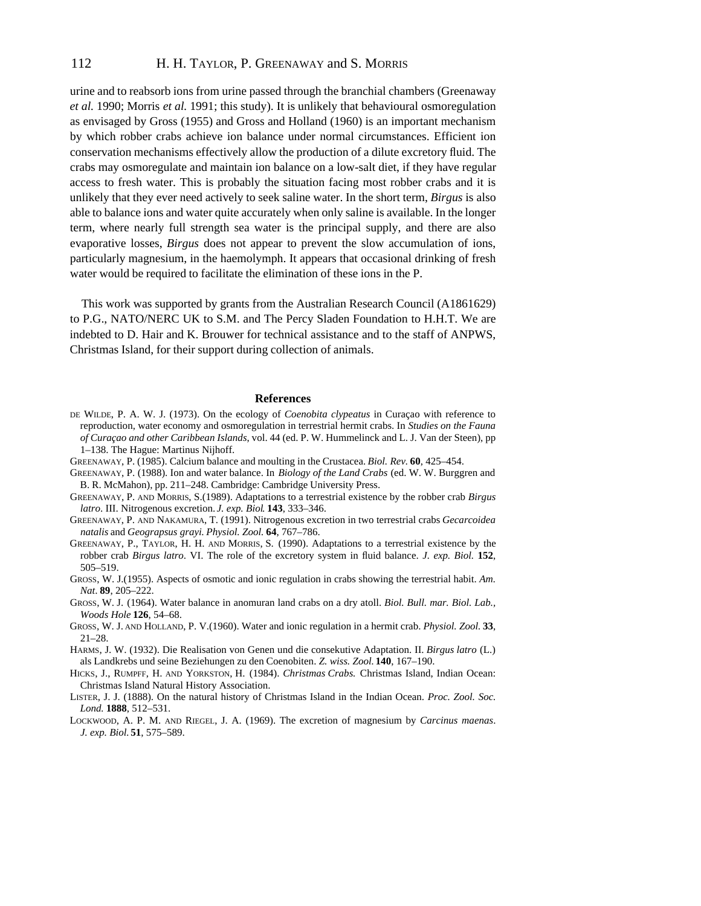# 112 H. H. TAYLOR, P. GREENAWAY and S. MORRIS

urine and to reabsorb ions from urine passed through the branchial chambers (Greenaway *et al.* 1990; Morris *et al.* 1991; this study). It is unlikely that behavioural osmoregulation as envisaged by Gross (1955) and Gross and Holland (1960) is an important mechanism by which robber crabs achieve ion balance under normal circumstances. Efficient ion conservation mechanisms effectively allow the production of a dilute excretory fluid. The crabs may osmoregulate and maintain ion balance on a low-salt diet, if they have regular access to fresh water. This is probably the situation facing most robber crabs and it is unlikely that they ever need actively to seek saline water. In the short term, *Birgus* is also able to balance ions and water quite accurately when only saline is available. In the longer term, where nearly full strength sea water is the principal supply, and there are also evaporative losses, *Birgus* does not appear to prevent the slow accumulation of ions, particularly magnesium, in the haemolymph. It appears that occasional drinking of fresh water would be required to facilitate the elimination of these ions in the P.

This work was supported by grants from the Australian Research Council (A1861629) to P.G., NATO/NERC UK to S.M. and The Percy Sladen Foundation to H.H.T. We are indebted to D. Hair and K. Brouwer for technical assistance and to the staff of ANPWS, Christmas Island, for their support during collection of animals.

#### **References**

- DE WILDE, P. A. W. J. (1973). On the ecology of *Coenobita clypeatus* in Curaçao with reference to reproduction, water economy and osmoregulation in terrestrial hermit crabs. In *Studies on the Fauna of Curaçao and other Caribbean Islands*, vol. 44 (ed. P. W. Hummelinck and L. J. Van der Steen), pp 1–138. The Hague: Martinus Nijhoff.
- GREENAWAY, P. (1985). Calcium balance and moulting in the Crustacea. *Biol. Rev.* **60**, 425–454.
- GREENAWAY, P. (1988). Ion and water balance. In *Biology of the Land Crabs* (ed. W. W. Burggren and B. R. McMahon), pp. 211–248. Cambridge: Cambridge University Press.
- GREENAWAY, P. AND MORRIS, S.(1989). Adaptations to a terrestrial existence by the robber crab *Birgus latro*. III. Nitrogenous excretion. *J. exp. Biol*. **143**, 333–346.
- GREENAWAY, P. AND NAKAMURA, T. (1991). Nitrogenous excretion in two terrestrial crabs *Gecarcoidea natalis* and *Geograpsus grayi*. *Physiol. Zool.* **64**, 767–786.
- GREENAWAY, P., TAYLOR, H. H. AND MORRIS, S. (1990). Adaptations to a terrestrial existence by the robber crab *Birgus latro*. VI. The role of the excretory system in fluid balance. *J. exp. Biol.* **152**, 505–519.
- GROSS, W. J.(1955). Aspects of osmotic and ionic regulation in crabs showing the terrestrial habit. Am. *Nat*. **89**, 205–222.
- GROSS, W. J. (1964). Water balance in anomuran land crabs on a dry atoll. *Biol. Bull. mar. Biol. Lab., Woods Hole* **126**, 54–68.
- GROSS, W. J. AND HOLLAND, P. V.(1960). Water and ionic regulation in a hermit crab. *Physiol. Zool.* **33**, 21–28.
- HARMS, J. W. (1932). Die Realisation von Genen und die consekutive Adaptation. II. *Birgus latro* (L.) als Landkrebs und seine Beziehungen zu den Coenobiten. *Z. wiss. Zool.* **140**, 167–190.
- HICKS, J., RUMPFF, H. AND YORKSTON, H. (1984). *Christmas Crabs.* Christmas Island, Indian Ocean: Christmas Island Natural History Association.
- LISTER, J. J. (1888). On the natural history of Christmas Island in the Indian Ocean. *Proc. Zool. Soc. Lond.* **1888**, 512–531.
- LOCKWOOD, A. P. M. AND RIEGEL, J. A. (1969). The excretion of magnesium by *Carcinus maenas*. *J. exp. Biol.* **51**, 575–589.